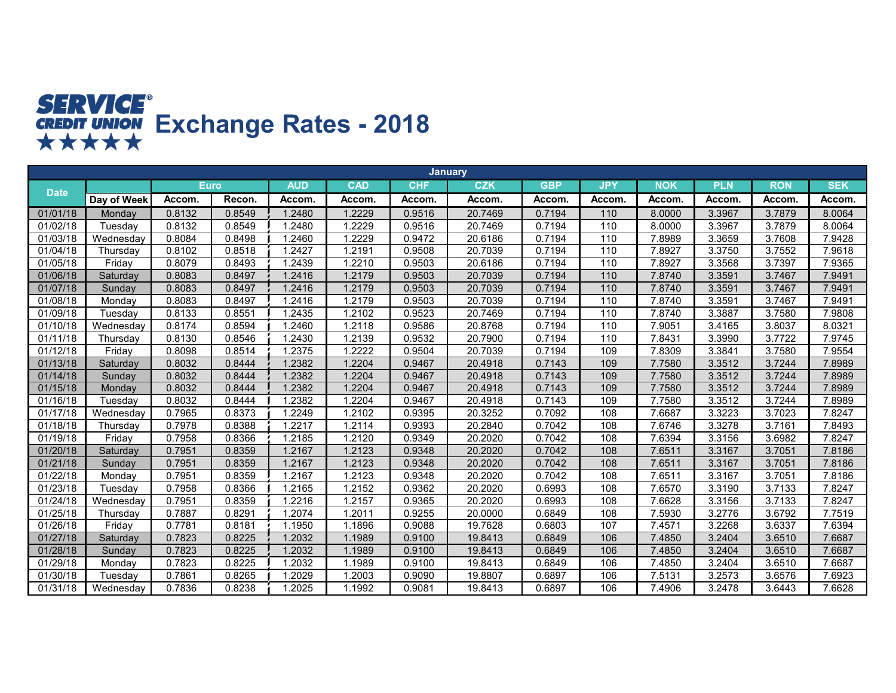## **SERVICE<sup>®</sup><br>
CREDIT UNION**<br> **★★★★★**

|             |             |             |        |            |            | <b>January</b> |            |            |                   |            |            |            |            |
|-------------|-------------|-------------|--------|------------|------------|----------------|------------|------------|-------------------|------------|------------|------------|------------|
| <b>Date</b> |             | <b>Euro</b> |        | <b>AUD</b> | <b>CAD</b> | <b>CHF</b>     | <b>CZK</b> | <b>GBP</b> | <b>JPY</b>        | <b>NOK</b> | <b>PLN</b> | <b>RON</b> | <b>SEK</b> |
|             | Day of Week | Accom.      | Recon. | Accom.     | Accom.     | Accom.         | Accom.     | Accom.     | Accom.            | Accom.     | Accom.     | Accom.     | Accom.     |
| 01/01/18    | Monday      | 0.8132      | 0.8549 | 1.2480     | .2229      | 0.9516         | 20.7469    | 0.7194     | $\frac{110}{110}$ | 8.0000     | 3.3967     | 3.7879     | 8.0064     |
| 01/02/18    | Tuesday     | 0.8132      | 0.8549 | 1.2480     | .2229      | 0.9516         | 20.7469    | 0.7194     | 110               | 8.0000     | 3.3967     | 3.7879     | 8.0064     |
| 01/03/18    | Wednesday   | 0.8084      | 0.8498 | 1.2460     | .2229      | 0.9472         | 20.6186    | 0.7194     | 110               | 7.8989     | 3.3659     | 3.7608     | 7.9428     |
| 01/04/18    | Thursday    | 0.8102      | 0.8518 | 1.2427     | .2191      | 0.9508         | 20.7039    | 0.7194     | 110               | 7.8927     | 3.3750     | 3.7552     | 7.9618     |
| 01/05/18    | Friday      | 0.8079      | 0.8493 | 1.2439     | .2210      | 0.9503         | 20.6186    | 0.7194     | 110               | 7.8927     | 3.3568     | 3.7397     | 7.9365     |
| 01/06/18    | Saturday    | 0.8083      | 0.8497 | 1.2416     | 1.2179     | 0.9503         | 20.7039    | 0.7194     | 110               | 7.8740     | 3.3591     | 3.7467     | 7.9491     |
| 01/07/18    | Sunday      | 0.8083      | 0.8497 | 1.2416     | 1.2179     | 0.9503         | 20.7039    | 0.7194     | 110               | 7.8740     | 3.3591     | 3.7467     | 7.9491     |
| 01/08/18    | Monday      | 0.8083      | 0.8497 | 1.2416     | 1.2179     | 0.9503         | 20.7039    | 0.7194     | 110               | 7.8740     | 3.3591     | 3.7467     | 7.9491     |
| 01/09/18    | Tuesday     | 0.8133      | 0.8551 | 1.2435     | 1.2102     | 0.9523         | 20.7469    | 0.7194     | 110               | 7.8740     | 3.3887     | 3.7580     | 7.9808     |
| 01/10/18    | Wednesday   | 0.8174      | 0.8594 | 1.2460     | 1.2118     | 0.9586         | 20.8768    | 0.7194     | 110               | 7.9051     | 3.4165     | 3.8037     | 8.0321     |
| 01/11/18    | Thursday    | 0.8130      | 0.8546 | 1.2430     | 1.2139     | 0.9532         | 20.7900    | 0.7194     | 110               | 7.8431     | 3.3990     | 3.7722     | 7.9745     |
| 01/12/18    | Friday      | 0.8098      | 0.8514 | 1.2375     | 1.2222     | 0.9504         | 20.7039    | 0.7194     | 109               | 7.8309     | 3.3841     | 3.7580     | 7.9554     |
| 01/13/18    | Saturday    | 0.8032      | 0.8444 | 1.2382     | .2204      | 0.9467         | 20.4918    | 0.7143     | 109               | 7.7580     | 3.3512     | 3.7244     | 7.8989     |
| 01/14/18    | Sunday      | 0.8032      | 0.8444 | 1.2382     | .2204      | 0.9467         | 20.4918    | 0.7143     | 109               | 7.7580     | 3.3512     | 3.7244     | 7.8989     |
| 01/15/18    | Monday      | 0.8032      | 0.8444 | 1.2382     | .2204      | 0.9467         | 20.4918    | 0.7143     | 109               | 7.7580     | 3.3512     | 3.7244     | 7.8989     |
| 01/16/18    | Tuesday     | 0.8032      | 0.8444 | 1.2382     | .2204      | 0.9467         | 20.4918    | 0.7143     | 109               | 7.7580     | 3.3512     | 3.7244     | 7.8989     |
| 01/17/18    | Wednesday   | 0.7965      | 0.8373 | 1.2249     | 1.2102     | 0.9395         | 20.3252    | 0.7092     | 108               | 7.6687     | 3.3223     | 3.7023     | 7.8247     |
| 01/18/18    | Thursday    | 0.7978      | 0.8388 | 1.2217     | 1.2114     | 0.9393         | 20.2840    | 0.7042     | 108               | 7.6746     | 3.3278     | 3.7161     | 7.8493     |
| 01/19/18    | Friday      | 0.7958      | 0.8366 | 1.2185     | 1.2120     | 0.9349         | 20.2020    | 0.7042     | 108               | 7.6394     | 3.3156     | 3.6982     | 7.8247     |
| 01/20/18    | Saturday    | 0.7951      | 0.8359 | 1.2167     | 1.2123     | 0.9348         | 20.2020    | 0.7042     | 108               | 7.6511     | 3.3167     | 3.7051     | 7.8186     |
| 01/21/18    | Sunday      | 0.7951      | 0.8359 | 1.2167     | 1.2123     | 0.9348         | 20.2020    | 0.7042     | 108               | 7.6511     | 3.3167     | 3.7051     | 7.8186     |
| 01/22/18    | Monday      | 0.7951      | 0.8359 | 1.2167     | 1.2123     | 0.9348         | 20.2020    | 0.7042     | 108               | 7.6511     | 3.3167     | 3.7051     | 7.8186     |
| 01/23/18    | Tuesday     | 0.7958      | 0.8366 | 1.2165     | 1.2152     | 0.9362         | 20.2020    | 0.6993     | 108               | 7.6570     | 3.3190     | 3.7133     | 7.8247     |
| 01/24/18    | Wednesday   | 0.7951      | 0.8359 | 1.2216     | 1.2157     | 0.9365         | 20.2020    | 0.6993     | 108               | 7.6628     | 3.3156     | 3.7133     | 7.8247     |
| 01/25/18    | Thursdav    | 0.7887      | 0.8291 | 1.2074     | .2011      | 0.9255         | 20.0000    | 0.6849     | 108               | 7.5930     | 3.2776     | 3.6792     | 7.7519     |
| 01/26/18    | Friday      | 0.7781      | 0.8181 | 1.1950     | 1.1896     | 0.9088         | 19.7628    | 0.6803     | 107               | 7.4571     | 3.2268     | 3.6337     | 7.6394     |
| 01/27/18    | Saturday    | 0.7823      | 0.8225 | 1.2032     | 1.1989     | 0.9100         | 19.8413    | 0.6849     | 106               | 7.4850     | 3.2404     | 3.6510     | 7.6687     |
| 01/28/18    | Sunday      | 0.7823      | 0.8225 | 1.2032     | 1.1989     | 0.9100         | 19.8413    | 0.6849     | 106               | 7.4850     | 3.2404     | 3.6510     | 7.6687     |
| 01/29/18    | Monday      | 0.7823      | 0.8225 | 1.2032     | 1.1989     | 0.9100         | 19.8413    | 0.6849     | 106               | 7.4850     | 3.2404     | 3.6510     | 7.6687     |
| 01/30/18    | Tuesday     | 0.7861      | 0.8265 | 1.2029     | 1.2003     | 0.9090         | 19.8807    | 0.6897     | 106               | 7.5131     | 3.2573     | 3.6576     | 7.6923     |
| 01/31/18    | Wednesday   | 0.7836      | 0.8238 | 1.2025     | 1.1992     | 0.9081         | 19.8413    | 0.6897     | 106               | 7.4906     | 3.2478     | 3.6443     | 7.6628     |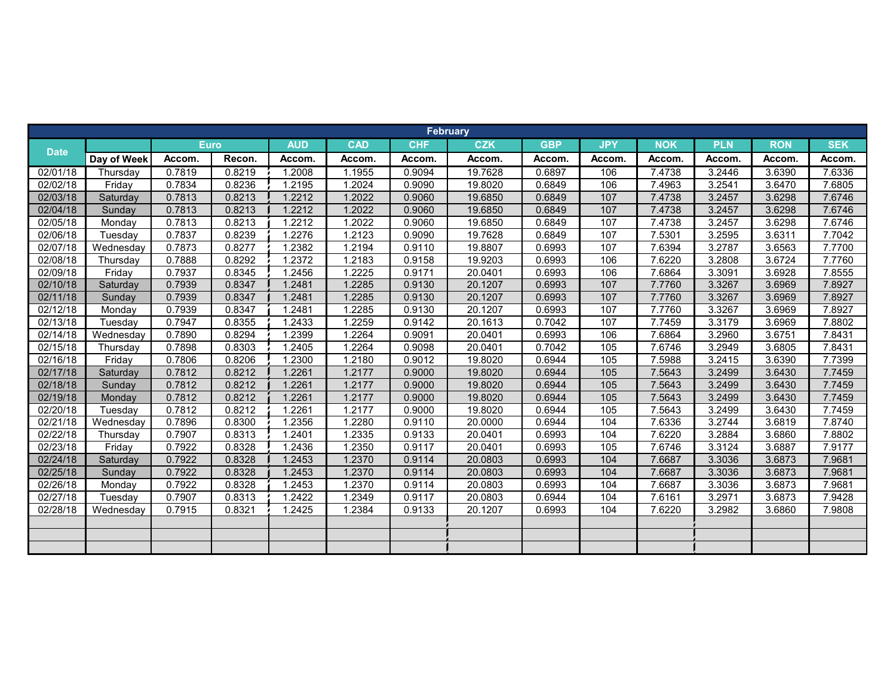|             |             |        |             |            |            |            | <b>February</b> |            |            |            |            |            |            |
|-------------|-------------|--------|-------------|------------|------------|------------|-----------------|------------|------------|------------|------------|------------|------------|
|             |             |        | <b>Euro</b> | <b>AUD</b> | <b>CAD</b> | <b>CHF</b> | <b>CZK</b>      | <b>GBP</b> | <b>JPY</b> | <b>NOK</b> | <b>PLN</b> | <b>RON</b> | <b>SEK</b> |
| <b>Date</b> | Day of Week | Accom. | Recon.      | Accom.     | Accom.     | Accom.     | Accom.          | Accom.     | Accom.     | Accom.     | Accom.     | Accom.     | Accom.     |
| 02/01/18    | Thursday    | 0.7819 | 0.8219      | 1.2008     | 1.1955     | 0.9094     | 19.7628         | 0.6897     | 106        | 7.4738     | 3.2446     | 3.6390     | 7.6336     |
| 02/02/18    | Friday      | 0.7834 | 0.8236      | 1.2195     | 1.2024     | 0.9090     | 19.8020         | 0.6849     | 106        | 7.4963     | 3.2541     | 3.6470     | 7.6805     |
| 02/03/18    | Saturday    | 0.7813 | 0.8213      | 1.2212     | 1.2022     | 0.9060     | 19.6850         | 0.6849     | 107        | 7.4738     | 3.2457     | 3.6298     | 7.6746     |
| 02/04/18    | Sunday      | 0.7813 | 0.8213      | 1.2212     | 1.2022     | 0.9060     | 19.6850         | 0.6849     | 107        | 7.4738     | 3.2457     | 3.6298     | 7.6746     |
| 02/05/18    | Monday      | 0.7813 | 0.8213      | 1.2212     | 1.2022     | 0.9060     | 19.6850         | 0.6849     | 107        | 7.4738     | 3.2457     | 3.6298     | 7.6746     |
| 02/06/18    | Tuesday     | 0.7837 | 0.8239      | 1.2276     | 1.2123     | 0.9090     | 19.7628         | 0.6849     | 107        | 7.5301     | 3.2595     | 3.6311     | 7.7042     |
| 02/07/18    | Wednesday   | 0.7873 | 0.8277      | 1.2382     | 1.2194     | 0.9110     | 19.8807         | 0.6993     | 107        | 7.6394     | 3.2787     | 3.6563     | 7.7700     |
| 02/08/18    | Thursday    | 0.7888 | 0.8292      | 1.2372     | 1.2183     | 0.9158     | 19.9203         | 0.6993     | 106        | 7.6220     | 3.2808     | 3.6724     | 7.7760     |
| 02/09/18    | Fridav      | 0.7937 | 0.8345      | 1.2456     | 1.2225     | 0.9171     | 20.0401         | 0.6993     | 106        | 7.6864     | 3.3091     | 3.6928     | 7.8555     |
| 02/10/18    | Saturday    | 0.7939 | 0.8347      | 1.2481     | 1.2285     | 0.9130     | 20.1207         | 0.6993     | 107        | 7.7760     | 3.3267     | 3.6969     | 7.8927     |
| 02/11/18    | Sunday      | 0.7939 | 0.8347      | 1.2481     | 1.2285     | 0.9130     | 20.1207         | 0.6993     | 107        | 7.7760     | 3.3267     | 3.6969     | 7.8927     |
| 02/12/18    | Monday      | 0.7939 | 0.8347      | 1.2481     | 1.2285     | 0.9130     | 20.1207         | 0.6993     | 107        | 7.7760     | 3.3267     | 3.6969     | 7.8927     |
| 02/13/18    | Tuesday     | 0.7947 | 0.8355      | 1.2433     | 1.2259     | 0.9142     | 20.1613         | 0.7042     | 107        | 7.7459     | 3.3179     | 3.6969     | 7.8802     |
| 02/14/18    | Wednesday   | 0.7890 | 0.8294      | 1.2399     | 1.2264     | 0.9091     | 20.0401         | 0.6993     | 106        | 7.6864     | 3.2960     | 3.6751     | 7.8431     |
| 02/15/18    | Thursday    | 0.7898 | 0.8303      | 1.2405     | 1.2264     | 0.9098     | 20.0401         | 0.7042     | 105        | 7.6746     | 3.2949     | 3.6805     | 7.8431     |
| 02/16/18    | Friday      | 0.7806 | 0.8206      | 1.2300     | 1.2180     | 0.9012     | 19.8020         | 0.6944     | 105        | 7.5988     | 3.2415     | 3.6390     | 7.7399     |
| 02/17/18    | Saturday    | 0.7812 | 0.8212      | 1.2261     | 1.2177     | 0.9000     | 19.8020         | 0.6944     | 105        | 7.5643     | 3.2499     | 3.6430     | 7.7459     |
| 02/18/18    | Sunday      | 0.7812 | 0.8212      | 1.2261     | 1.2177     | 0.9000     | 19.8020         | 0.6944     | 105        | 7.5643     | 3.2499     | 3.6430     | 7.7459     |
| 02/19/18    | Monday      | 0.7812 | 0.8212      | 1.2261     | 1.2177     | 0.9000     | 19.8020         | 0.6944     | 105        | 7.5643     | 3.2499     | 3.6430     | 7.7459     |
| 02/20/18    | Tuesday     | 0.7812 | 0.8212      | 1.2261     | 1.2177     | 0.9000     | 19.8020         | 0.6944     | 105        | 7.5643     | 3.2499     | 3.6430     | 7.7459     |
| 02/21/18    | Wednesday   | 0.7896 | 0.8300      | 1.2356     | 1.2280     | 0.9110     | 20.0000         | 0.6944     | 104        | 7.6336     | 3.2744     | 3.6819     | 7.8740     |
| 02/22/18    | Thursday    | 0.7907 | 0.8313      | 1.2401     | 1.2335     | 0.9133     | 20.0401         | 0.6993     | 104        | 7.6220     | 3.2884     | 3.6860     | 7.8802     |
| 02/23/18    | Friday      | 0.7922 | 0.8328      | 1.2436     | 1.2350     | 0.9117     | 20.0401         | 0.6993     | 105        | 7.6746     | 3.3124     | 3.6887     | 7.9177     |
| 02/24/18    | Saturday    | 0.7922 | 0.8328      | 1.2453     | 1.2370     | 0.9114     | 20.0803         | 0.6993     | 104        | 7.6687     | 3.3036     | 3.6873     | 7.9681     |
| 02/25/18    | Sundav      | 0.7922 | 0.8328      | 1.2453     | 1.2370     | 0.9114     | 20.0803         | 0.6993     | 104        | 7.6687     | 3.3036     | 3.6873     | 7.9681     |
| 02/26/18    | Monday      | 0.7922 | 0.8328      | 1.2453     | 1.2370     | 0.9114     | 20.0803         | 0.6993     | 104        | 7.6687     | 3.3036     | 3.6873     | 7.9681     |
| 02/27/18    | Tuesday     | 0.7907 | 0.8313      | 1.2422     | 1.2349     | 0.9117     | 20.0803         | 0.6944     | 104        | 7.6161     | 3.2971     | 3.6873     | 7.9428     |
| 02/28/18    | Wednesday   | 0.7915 | 0.8321      | 1.2425     | 1.2384     | 0.9133     | 20.1207         | 0.6993     | 104        | 7.6220     | 3.2982     | 3.6860     | 7.9808     |
|             |             |        |             |            |            |            |                 |            |            |            |            |            |            |
|             |             |        |             |            |            |            |                 |            |            |            |            |            |            |
|             |             |        |             |            |            |            |                 |            |            |            |            |            |            |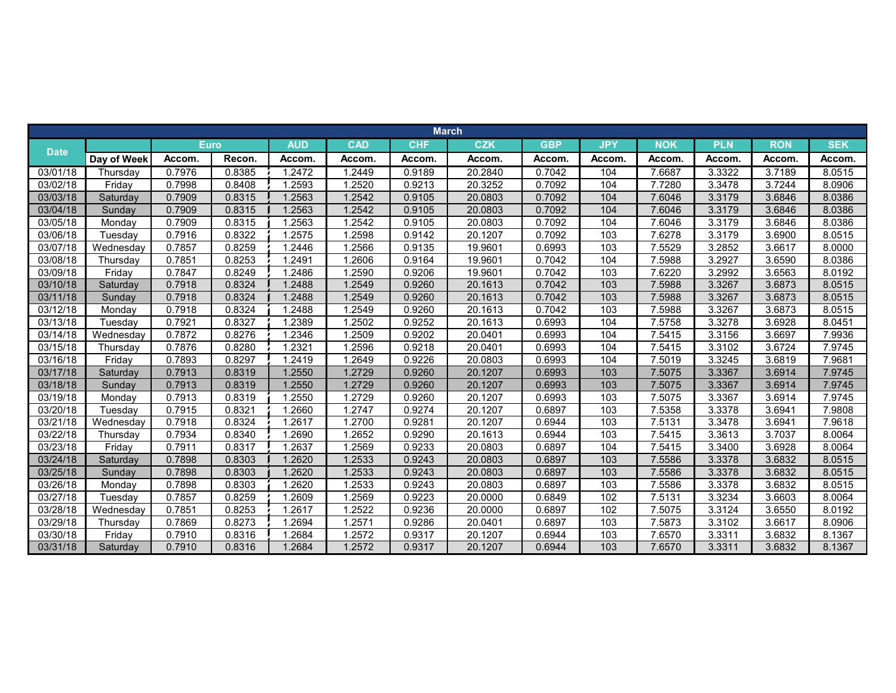|             |             |        |             |            |            |            | <b>March</b> |            |            |            |            |            |            |
|-------------|-------------|--------|-------------|------------|------------|------------|--------------|------------|------------|------------|------------|------------|------------|
|             |             |        | <b>Euro</b> | <b>AUD</b> | <b>CAD</b> | <b>CHF</b> | <b>CZK</b>   | <b>GBP</b> | <b>JPY</b> | <b>NOK</b> | <b>PLN</b> | <b>RON</b> | <b>SEK</b> |
| <b>Date</b> | Day of Week | Accom. | Recon.      | Accom.     | Accom.     | Accom.     | Accom.       | Accom.     | Accom.     | Accom.     | Accom.     | Accom.     | Accom.     |
| 03/01/18    | Thursday    | 0.7976 | 0.8385      | 1.2472     | 1.2449     | 0.9189     | 20.2840      | 0.7042     | 104        | 7.6687     | 3.3322     | 3.7189     | 8.0515     |
| 03/02/18    | Friday      | 0.7998 | 0.8408      | 1.2593     | 1.2520     | 0.9213     | 20.3252      | 0.7092     | 104        | 7.7280     | 3.3478     | 3.7244     | 8.0906     |
| 03/03/18    | Saturday    | 0.7909 | 0.8315      | 1.2563     | 1.2542     | 0.9105     | 20.0803      | 0.7092     | 104        | 7.6046     | 3.3179     | 3.6846     | 8.0386     |
| 03/04/18    | Sunday      | 0.7909 | 0.8315      | 1.2563     | 1.2542     | 0.9105     | 20.0803      | 0.7092     | 104        | 7.6046     | 3.3179     | 3.6846     | 8.0386     |
| 03/05/18    | Monday      | 0.7909 | 0.8315      | 1.2563     | 1.2542     | 0.9105     | 20.0803      | 0.7092     | 104        | 7.6046     | 3.3179     | 3.6846     | 8.0386     |
| 03/06/18    | Tuesday     | 0.7916 | 0.8322      | 1.2575     | 1.2598     | 0.9142     | 20.1207      | 0.7092     | 103        | 7.6278     | 3.3179     | 3.6900     | 8.0515     |
| 03/07/18    | Wednesday   | 0.7857 | 0.8259      | 1.2446     | 1.2566     | 0.9135     | 19.9601      | 0.6993     | 103        | 7.5529     | 3.2852     | 3.6617     | 8.0000     |
| 03/08/18    | Thursday    | 0.7851 | 0.8253      | 1.2491     | 1.2606     | 0.9164     | 19.9601      | 0.7042     | 104        | 7.5988     | 3.2927     | 3.6590     | 8.0386     |
| 03/09/18    | Friday      | 0.7847 | 0.8249      | 1.2486     | 1.2590     | 0.9206     | 19.9601      | 0.7042     | 103        | 7.6220     | 3.2992     | 3.6563     | 8.0192     |
| 03/10/18    | Saturday    | 0.7918 | 0.8324      | 1.2488     | 1.2549     | 0.9260     | 20.1613      | 0.7042     | 103        | 7.5988     | 3.3267     | 3.6873     | 8.0515     |
| 03/11/18    | Sunday      | 0.7918 | 0.8324      | 1.2488     | 1.2549     | 0.9260     | 20.1613      | 0.7042     | 103        | 7.5988     | 3.3267     | 3.6873     | 8.0515     |
| 03/12/18    | Monday      | 0.7918 | 0.8324      | 1.2488     | 1.2549     | 0.9260     | 20.1613      | 0.7042     | 103        | 7.5988     | 3.3267     | 3.6873     | 8.0515     |
| 03/13/18    | Tuesday     | 0.7921 | 0.8327      | 1.2389     | 1.2502     | 0.9252     | 20.1613      | 0.6993     | 104        | 7.5758     | 3.3278     | 3.6928     | 8.0451     |
| 03/14/18    | Wednesday   | 0.7872 | 0.8276      | 1.2346     | 1.2509     | 0.9202     | 20.0401      | 0.6993     | 104        | 7.5415     | 3.3156     | 3.6697     | 7.9936     |
| 03/15/18    | Thursday    | 0.7876 | 0.8280      | 1.2321     | 1.2596     | 0.9218     | 20.0401      | 0.6993     | 104        | 7.5415     | 3.3102     | 3.6724     | 7.9745     |
| 03/16/18    | Friday      | 0.7893 | 0.8297      | 1.2419     | 1.2649     | 0.9226     | 20.0803      | 0.6993     | 104        | 7.5019     | 3.3245     | 3.6819     | 7.9681     |
| 03/17/18    | Saturday    | 0.7913 | 0.8319      | 1.2550     | 1.2729     | 0.9260     | 20.1207      | 0.6993     | 103        | 7.5075     | 3.3367     | 3.6914     | 7.9745     |
| 03/18/18    | Sunday      | 0.7913 | 0.8319      | 1.2550     | 1.2729     | 0.9260     | 20.1207      | 0.6993     | 103        | 7.5075     | 3.3367     | 3.6914     | 7.9745     |
| 03/19/18    | Monday      | 0.7913 | 0.8319      | 1.2550     | 1.2729     | 0.9260     | 20.1207      | 0.6993     | 103        | 7.5075     | 3.3367     | 3.6914     | 7.9745     |
| 03/20/18    | Tuesday     | 0.7915 | 0.8321      | 1.2660     | 1.2747     | 0.9274     | 20.1207      | 0.6897     | 103        | 7.5358     | 3.3378     | 3.6941     | 7.9808     |
| 03/21/18    | Wednesday   | 0.7918 | 0.8324      | 1.2617     | 1.2700     | 0.9281     | 20.1207      | 0.6944     | 103        | 7.5131     | 3.3478     | 3.6941     | 7.9618     |
| 03/22/18    | Thursday    | 0.7934 | 0.8340      | 1.2690     | 1.2652     | 0.9290     | 20.1613      | 0.6944     | 103        | 7.5415     | 3.3613     | 3.7037     | 8.0064     |
| 03/23/18    | Fridav      | 0.7911 | 0.8317      | 1.2637     | 1.2569     | 0.9233     | 20.0803      | 0.6897     | 104        | 7.5415     | 3.3400     | 3.6928     | 8.0064     |
| 03/24/18    | Saturday    | 0.7898 | 0.8303      | 1.2620     | 1.2533     | 0.9243     | 20.0803      | 0.6897     | 103        | 7.5586     | 3.3378     | 3.6832     | 8.0515     |
| 03/25/18    | Sunday      | 0.7898 | 0.8303      | 1.2620     | 1.2533     | 0.9243     | 20.0803      | 0.6897     | 103        | 7.5586     | 3.3378     | 3.6832     | 8.0515     |
| 03/26/18    | Monday      | 0.7898 | 0.8303      | 1.2620     | 1.2533     | 0.9243     | 20.0803      | 0.6897     | 103        | 7.5586     | 3.3378     | 3.6832     | 8.0515     |
| 03/27/18    | Tuesday     | 0.7857 | 0.8259      | 1.2609     | 1.2569     | 0.9223     | 20.0000      | 0.6849     | 102        | 7.5131     | 3.3234     | 3.6603     | 8.0064     |
| 03/28/18    | Wednesdav   | 0.7851 | 0.8253      | 1.2617     | 1.2522     | 0.9236     | 20.0000      | 0.6897     | 102        | 7.5075     | 3.3124     | 3.6550     | 8.0192     |
| 03/29/18    | Thursday    | 0.7869 | 0.8273      | 1.2694     | 1.2571     | 0.9286     | 20.0401      | 0.6897     | 103        | 7.5873     | 3.3102     | 3.6617     | 8.0906     |
| 03/30/18    | Friday      | 0.7910 | 0.8316      | 1.2684     | 1.2572     | 0.9317     | 20.1207      | 0.6944     | 103        | 7.6570     | 3.3311     | 3.6832     | 8.1367     |
| 03/31/18    | Saturday    | 0.7910 | 0.8316      | 1.2684     | 1.2572     | 0.9317     | 20.1207      | 0.6944     | 103        | 7.6570     | 3.3311     | 3.6832     | 8.1367     |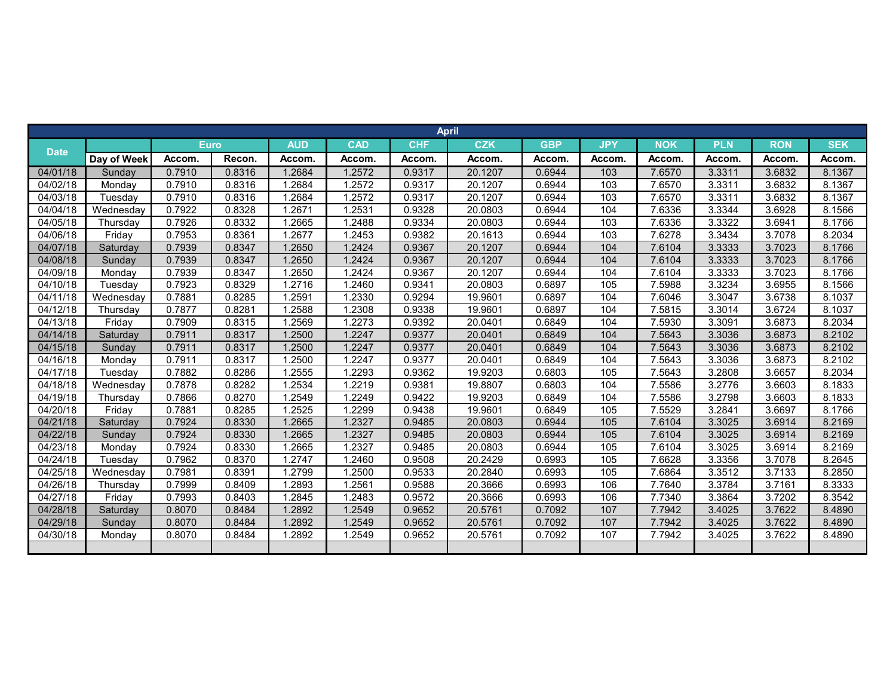|             |             |        |             |            |            |            | <b>April</b> |            |            |            |            |            |            |
|-------------|-------------|--------|-------------|------------|------------|------------|--------------|------------|------------|------------|------------|------------|------------|
|             |             |        | <b>Euro</b> | <b>AUD</b> | <b>CAD</b> | <b>CHF</b> | <b>CZK</b>   | <b>GBP</b> | <b>JPY</b> | <b>NOK</b> | <b>PLN</b> | <b>RON</b> | <b>SEK</b> |
| <b>Date</b> | Day of Week | Accom. | Recon.      | Accom.     | Accom.     | Accom.     | Accom.       | Accom.     | Accom.     | Accom.     | Accom.     | Accom.     | Accom.     |
| 04/01/18    | Sunday      | 0.7910 | 0.8316      | 1.2684     | 1.2572     | 0.9317     | 20.1207      | 0.6944     | 103        | 7.6570     | 3.3311     | 3.6832     | 8.1367     |
| 04/02/18    | Monday      | 0.7910 | 0.8316      | 1.2684     | 1.2572     | 0.9317     | 20.1207      | 0.6944     | 103        | 7.6570     | 3.3311     | 3.6832     | 8.1367     |
| 04/03/18    | Tuesday     | 0.7910 | 0.8316      | 1.2684     | 1.2572     | 0.9317     | 20.1207      | 0.6944     | 103        | 7.6570     | 3.3311     | 3.6832     | 8.1367     |
| 04/04/18    | Wednesday   | 0.7922 | 0.8328      | 1.2671     | 1.2531     | 0.9328     | 20.0803      | 0.6944     | 104        | 7.6336     | 3.3344     | 3.6928     | 8.1566     |
| 04/05/18    | Thursday    | 0.7926 | 0.8332      | 1.2665     | 1.2488     | 0.9334     | 20.0803      | 0.6944     | 103        | 7.6336     | 3.3322     | 3.6941     | 8.1766     |
| 04/06/18    | Friday      | 0.7953 | 0.8361      | 1.2677     | 1.2453     | 0.9382     | 20.1613      | 0.6944     | 103        | 7.6278     | 3.3434     | 3.7078     | 8.2034     |
| 04/07/18    | Saturday    | 0.7939 | 0.8347      | 1.2650     | 1.2424     | 0.9367     | 20.1207      | 0.6944     | 104        | 7.6104     | 3.3333     | 3.7023     | 8.1766     |
| 04/08/18    | Sunday      | 0.7939 | 0.8347      | 1.2650     | 1.2424     | 0.9367     | 20.1207      | 0.6944     | 104        | 7.6104     | 3.3333     | 3.7023     | 8.1766     |
| 04/09/18    | Monday      | 0.7939 | 0.8347      | 1.2650     | 1.2424     | 0.9367     | 20.1207      | 0.6944     | 104        | 7.6104     | 3.3333     | 3.7023     | 8.1766     |
| 04/10/18    | Tuesday     | 0.7923 | 0.8329      | 1.2716     | 1.2460     | 0.9341     | 20.0803      | 0.6897     | 105        | 7.5988     | 3.3234     | 3.6955     | 8.1566     |
| 04/11/18    | Wednesdav   | 0.7881 | 0.8285      | 1.2591     | 1.2330     | 0.9294     | 19.9601      | 0.6897     | 104        | 7.6046     | 3.3047     | 3.6738     | 8.1037     |
| 04/12/18    | Thursday    | 0.7877 | 0.8281      | 1.2588     | 1.2308     | 0.9338     | 19.9601      | 0.6897     | 104        | 7.5815     | 3.3014     | 3.6724     | 8.1037     |
| 04/13/18    | Friday      | 0.7909 | 0.8315      | 1.2569     | 1.2273     | 0.9392     | 20.0401      | 0.6849     | 104        | 7.5930     | 3.3091     | 3.6873     | 8.2034     |
| 04/14/18    | Saturday    | 0.7911 | 0.8317      | 1.2500     | 1.2247     | 0.9377     | 20.0401      | 0.6849     | 104        | 7.5643     | 3.3036     | 3.6873     | 8.2102     |
| 04/15/18    | Sunday      | 0.7911 | 0.8317      | 1.2500     | 1.2247     | 0.9377     | 20.0401      | 0.6849     | 104        | 7.5643     | 3.3036     | 3.6873     | 8.2102     |
| 04/16/18    | Monday      | 0.7911 | 0.8317      | 1.2500     | 1.2247     | 0.9377     | 20.0401      | 0.6849     | 104        | 7.5643     | 3.3036     | 3.6873     | 8.2102     |
| 04/17/18    | Tuesday     | 0.7882 | 0.8286      | 1.2555     | 1.2293     | 0.9362     | 19.9203      | 0.6803     | 105        | 7.5643     | 3.2808     | 3.6657     | 8.2034     |
| 04/18/18    | Wednesday   | 0.7878 | 0.8282      | 1.2534     | 1.2219     | 0.9381     | 19.8807      | 0.6803     | 104        | 7.5586     | 3.2776     | 3.6603     | 8.1833     |
| 04/19/18    | Thursday    | 0.7866 | 0.8270      | 1.2549     | 1.2249     | 0.9422     | 19.9203      | 0.6849     | 104        | 7.5586     | 3.2798     | 3.6603     | 8.1833     |
| 04/20/18    | Friday      | 0.7881 | 0.8285      | 1.2525     | 1.2299     | 0.9438     | 19.9601      | 0.6849     | 105        | 7.5529     | 3.2841     | 3.6697     | 8.1766     |
| 04/21/18    | Saturday    | 0.7924 | 0.8330      | 1.2665     | 1.2327     | 0.9485     | 20.0803      | 0.6944     | 105        | 7.6104     | 3.3025     | 3.6914     | 8.2169     |
| 04/22/18    | Sunday      | 0.7924 | 0.8330      | 1.2665     | 1.2327     | 0.9485     | 20.0803      | 0.6944     | 105        | 7.6104     | 3.3025     | 3.6914     | 8.2169     |
| 04/23/18    | Monday      | 0.7924 | 0.8330      | 1.2665     | 1.2327     | 0.9485     | 20.0803      | 0.6944     | 105        | 7.6104     | 3.3025     | 3.6914     | 8.2169     |
| 04/24/18    | Tuesdav     | 0.7962 | 0.8370      | 1.2747     | 1.2460     | 0.9508     | 20.2429      | 0.6993     | 105        | 7.6628     | 3.3356     | 3.7078     | 8.2645     |
| 04/25/18    | Wednesday   | 0.7981 | 0.8391      | 1.2799     | 1.2500     | 0.9533     | 20.2840      | 0.6993     | 105        | 7.6864     | 3.3512     | 3.7133     | 8.2850     |
| 04/26/18    | Thursday    | 0.7999 | 0.8409      | 1.2893     | 1.2561     | 0.9588     | 20.3666      | 0.6993     | 106        | 7.7640     | 3.3784     | 3.7161     | 8.3333     |
| 04/27/18    | Friday      | 0.7993 | 0.8403      | 1.2845     | 1.2483     | 0.9572     | 20.3666      | 0.6993     | 106        | 7.7340     | 3.3864     | 3.7202     | 8.3542     |
| 04/28/18    | Saturday    | 0.8070 | 0.8484      | 1.2892     | 1.2549     | 0.9652     | 20.5761      | 0.7092     | 107        | 7.7942     | 3.4025     | 3.7622     | 8.4890     |
| 04/29/18    | Sunday      | 0.8070 | 0.8484      | 1.2892     | 1.2549     | 0.9652     | 20.5761      | 0.7092     | 107        | 7.7942     | 3.4025     | 3.7622     | 8.4890     |
| 04/30/18    | Monday      | 0.8070 | 0.8484      | 1.2892     | 1.2549     | 0.9652     | 20.5761      | 0.7092     | 107        | 7.7942     | 3.4025     | 3.7622     | 8.4890     |
|             |             |        |             |            |            |            |              |            |            |            |            |            |            |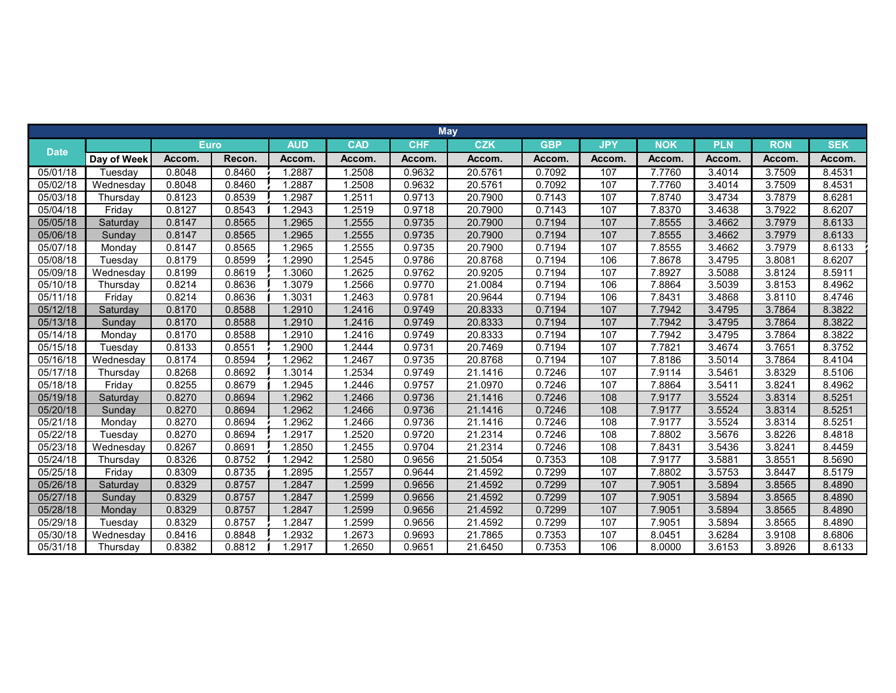|             |             |        |             |            |            |            | <b>May</b> |            |            |            |            |            |            |
|-------------|-------------|--------|-------------|------------|------------|------------|------------|------------|------------|------------|------------|------------|------------|
|             |             |        | <b>Euro</b> | <b>AUD</b> | <b>CAD</b> | <b>CHF</b> | <b>CZK</b> | <b>GBP</b> | <b>JPY</b> | <b>NOK</b> | <b>PLN</b> | <b>RON</b> | <b>SEK</b> |
| <b>Date</b> | Day of Week | Accom. | Recon.      | Accom.     | Accom.     | Accom.     | Accom.     | Accom.     | Accom.     | Accom.     | Accom.     | Accom.     | Accom.     |
| 05/01/18    | Tuesday     | 0.8048 | 0.8460      | 1.2887     | 1.2508     | 0.9632     | 20.5761    | 0.7092     | 107        | 7.7760     | 3.4014     | 3.7509     | 8.4531     |
| 05/02/18    | Wednesday   | 0.8048 | 0.8460      | 1.2887     | 1.2508     | 0.9632     | 20.5761    | 0.7092     | 107        | 7.7760     | 3.4014     | 3.7509     | 8.4531     |
| 05/03/18    | Thursday    | 0.8123 | 0.8539      | 1.2987     | 1.2511     | 0.9713     | 20.7900    | 0.7143     | 107        | 7.8740     | 3.4734     | 3.7879     | 8.6281     |
| 05/04/18    | Friday      | 0.8127 | 0.8543      | 1.2943     | 1.2519     | 0.9718     | 20.7900    | 0.7143     | 107        | 7.8370     | 3.4638     | 3.7922     | 8.6207     |
| 05/05/18    | Saturday    | 0.8147 | 0.8565      | 1.2965     | 1.2555     | 0.9735     | 20.7900    | 0.7194     | 107        | 7.8555     | 3.4662     | 3.7979     | 8.6133     |
| 05/06/18    | Sunday      | 0.8147 | 0.8565      | 1.2965     | 1.2555     | 0.9735     | 20.7900    | 0.7194     | 107        | 7.8555     | 3.4662     | 3.7979     | 8.6133     |
| 05/07/18    | Monday      | 0.8147 | 0.8565      | 1.2965     | 1.2555     | 0.9735     | 20.7900    | 0.7194     | 107        | 7.8555     | 3.4662     | 3.7979     | 8.6133     |
| 05/08/18    | Tuesday     | 0.8179 | 0.8599      | 1.2990     | 1.2545     | 0.9786     | 20.8768    | 0.7194     | 106        | 7.8678     | 3.4795     | 3.8081     | 8.6207     |
| 05/09/18    | Wednesday   | 0.8199 | 0.8619      | 1.3060     | 1.2625     | 0.9762     | 20.9205    | 0.7194     | 107        | 7.8927     | 3.5088     | 3.8124     | 8.5911     |
| 05/10/18    | Thursday    | 0.8214 | 0.8636      | 1.3079     | 1.2566     | 0.9770     | 21.0084    | 0.7194     | 106        | 7.8864     | 3.5039     | 3.8153     | 8.4962     |
| 05/11/18    | Friday      | 0.8214 | 0.8636      | 1.3031     | 1.2463     | 0.9781     | 20.9644    | 0.7194     | 106        | 7.8431     | 3.4868     | 3.8110     | 8.4746     |
| 05/12/18    | Saturday    | 0.8170 | 0.8588      | 1.2910     | 1.2416     | 0.9749     | 20.8333    | 0.7194     | 107        | 7.7942     | 3.4795     | 3.7864     | 8.3822     |
| 05/13/18    | Sunday      | 0.8170 | 0.8588      | 1.2910     | 1.2416     | 0.9749     | 20.8333    | 0.7194     | 107        | 7.7942     | 3.4795     | 3.7864     | 8.3822     |
| 05/14/18    | Monday      | 0.8170 | 0.8588      | 1.2910     | 1.2416     | 0.9749     | 20.8333    | 0.7194     | 107        | 7.7942     | 3.4795     | 3.7864     | 8.3822     |
| 05/15/18    | Tuesday     | 0.8133 | 0.8551      | 1.2900     | 1.2444     | 0.9731     | 20.7469    | 0.7194     | 107        | 7.7821     | 3.4674     | 3.7651     | 8.3752     |
| 05/16/18    | Wednesday   | 0.8174 | 0.8594      | 1.2962     | 1.2467     | 0.9735     | 20.8768    | 0.7194     | 107        | 7.8186     | 3.5014     | 3.7864     | 8.4104     |
| 05/17/18    | Thursday    | 0.8268 | 0.8692      | 1.3014     | 1.2534     | 0.9749     | 21.1416    | 0.7246     | 107        | 7.9114     | 3.5461     | 3.8329     | 8.5106     |
| 05/18/18    | Friday      | 0.8255 | 0.8679      | 1.2945     | 1.2446     | 0.9757     | 21.0970    | 0.7246     | 107        | 7.8864     | 3.5411     | 3.8241     | 8.4962     |
| 05/19/18    | Saturday    | 0.8270 | 0.8694      | 1.2962     | 1.2466     | 0.9736     | 21.1416    | 0.7246     | 108        | 7.9177     | 3.5524     | 3.8314     | 8.5251     |
| 05/20/18    | Sunday      | 0.8270 | 0.8694      | 1.2962     | 1.2466     | 0.9736     | 21.1416    | 0.7246     | 108        | 7.9177     | 3.5524     | 3.8314     | 8.5251     |
| 05/21/18    | Monday      | 0.8270 | 0.8694      | 1.2962     | 1.2466     | 0.9736     | 21.1416    | 0.7246     | 108        | 7.9177     | 3.5524     | 3.8314     | 8.5251     |
| 05/22/18    | Tuesday     | 0.8270 | 0.8694      | 1.2917     | 1.2520     | 0.9720     | 21.2314    | 0.7246     | 108        | 7.8802     | 3.5676     | 3.8226     | 8.4818     |
| 05/23/18    | Wednesday   | 0.8267 | 0.8691      | 1.2850     | 1.2455     | 0.9704     | 21.2314    | 0.7246     | 108        | 7.8431     | 3.5436     | 3.8241     | 8.4459     |
| 05/24/18    | Thursday    | 0.8326 | 0.8752      | 1.2942     | 1.2580     | 0.9656     | 21.5054    | 0.7353     | 108        | 7.9177     | 3.5881     | 3.8551     | 8.5690     |
| 05/25/18    | Friday      | 0.8309 | 0.8735      | 1.2895     | 1.2557     | 0.9644     | 21.4592    | 0.7299     | 107        | 7.8802     | 3.5753     | 3.8447     | 8.5179     |
| 05/26/18    | Saturday    | 0.8329 | 0.8757      | 1.2847     | 1.2599     | 0.9656     | 21.4592    | 0.7299     | 107        | 7.9051     | 3.5894     | 3.8565     | 8.4890     |
| 05/27/18    | Sunday      | 0.8329 | 0.8757      | 1.2847     | 1.2599     | 0.9656     | 21.4592    | 0.7299     | 107        | 7.9051     | 3.5894     | 3.8565     | 8.4890     |
| 05/28/18    | Monday      | 0.8329 | 0.8757      | 1.2847     | 1.2599     | 0.9656     | 21.4592    | 0.7299     | 107        | 7.9051     | 3.5894     | 3.8565     | 8.4890     |
| 05/29/18    | Tuesday     | 0.8329 | 0.8757      | 1.2847     | 1.2599     | 0.9656     | 21.4592    | 0.7299     | 107        | 7.9051     | 3.5894     | 3.8565     | 8.4890     |
| 05/30/18    | Wednesday   | 0.8416 | 0.8848      | 1.2932     | 1.2673     | 0.9693     | 21.7865    | 0.7353     | 107        | 8.0451     | 3.6284     | 3.9108     | 8.6806     |
| 05/31/18    | Thursday    | 0.8382 | 0.8812      | 1.2917     | 1.2650     | 0.9651     | 21.6450    | 0.7353     | 106        | 8.0000     | 3.6153     | 3.8926     | 8.6133     |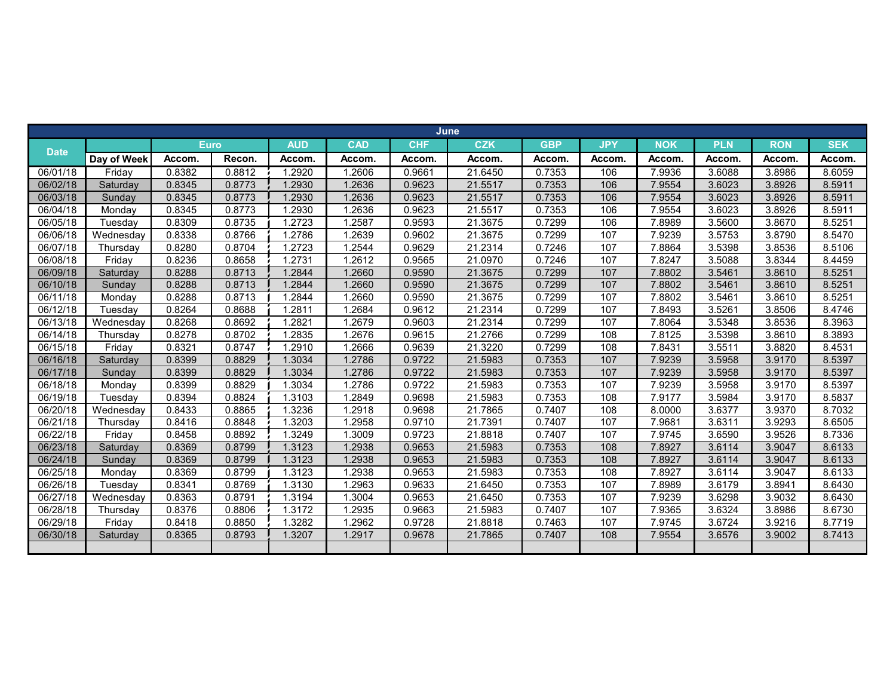|                       |             |        |             |            |            |            | <b>June</b> |            |            |            |            |            |            |
|-----------------------|-------------|--------|-------------|------------|------------|------------|-------------|------------|------------|------------|------------|------------|------------|
|                       |             |        | <b>Euro</b> | <b>AUD</b> | <b>CAD</b> | <b>CHF</b> | <b>CZK</b>  | <b>GBP</b> | <b>JPY</b> | <b>NOK</b> | <b>PLN</b> | <b>RON</b> | <b>SEK</b> |
| <b>Date</b>           | Day of Week | Accom. | Recon.      | Accom.     | Accom.     | Accom.     | Accom.      | Accom.     | Accom.     | Accom.     | Accom.     | Accom.     | Accom.     |
| 06/01/18              | Friday      | 0.8382 | 0.8812      | 1.2920     | 1.2606     | 0.9661     | 21.6450     | 0.7353     | 106        | 7.9936     | 3.6088     | 3.8986     | 8.6059     |
| 06/02/18              | Saturday    | 0.8345 | 0.8773      | 1.2930     | 1.2636     | 0.9623     | 21.5517     | 0.7353     | 106        | 7.9554     | 3.6023     | 3.8926     | 8.5911     |
| 06/03/18              | Sunday      | 0.8345 | 0.8773      | 1.2930     | 1.2636     | 0.9623     | 21.5517     | 0.7353     | 106        | 7.9554     | 3.6023     | 3.8926     | 8.5911     |
| 06/04/18              | Monday      | 0.8345 | 0.8773      | 1.2930     | 1.2636     | 0.9623     | 21.5517     | 0.7353     | 106        | 7.9554     | 3.6023     | 3.8926     | 8.5911     |
| 06/05/18              | Tuesday     | 0.8309 | 0.8735      | 1.2723     | 1.2587     | 0.9593     | 21.3675     | 0.7299     | 106        | 7.8989     | 3.5600     | 3.8670     | 8.5251     |
| 06/06/18              | Wednesday   | 0.8338 | 0.8766      | 1.2786     | 1.2639     | 0.9602     | 21.3675     | 0.7299     | 107        | 7.9239     | 3.5753     | 3.8790     | 8.5470     |
| 06/07/18              | Thursdav    | 0.8280 | 0.8704      | 1.2723     | 1.2544     | 0.9629     | 21.2314     | 0.7246     | 107        | 7.8864     | 3.5398     | 3.8536     | 8.5106     |
| 06/08/18              | Friday      | 0.8236 | 0.8658      | 1.2731     | 1.2612     | 0.9565     | 21.0970     | 0.7246     | 107        | 7.8247     | 3.5088     | 3.8344     | 8.4459     |
| 06/09/18              | Saturday    | 0.8288 | 0.8713      | 1.2844     | 1.2660     | 0.9590     | 21.3675     | 0.7299     | 107        | 7.8802     | 3.5461     | 3.8610     | 8.5251     |
| 06/10/18              | Sunday      | 0.8288 | 0.8713      | 1.2844     | 1.2660     | 0.9590     | 21.3675     | 0.7299     | 107        | 7.8802     | 3.5461     | 3.8610     | 8.5251     |
| $\overline{06/11/18}$ | Monday      | 0.8288 | 0.8713      | 1.2844     | 1.2660     | 0.9590     | 21.3675     | 0.7299     | 107        | 7.8802     | 3.5461     | 3.8610     | 8.5251     |
| 06/12/18              | Tuesday     | 0.8264 | 0.8688      | 1.2811     | 1.2684     | 0.9612     | 21.2314     | 0.7299     | 107        | 7.8493     | 3.5261     | 3.8506     | 8.4746     |
| 06/13/18              | Wednesday   | 0.8268 | 0.8692      | 1.2821     | 1.2679     | 0.9603     | 21.2314     | 0.7299     | 107        | 7.8064     | 3.5348     | 3.8536     | 8.3963     |
| 06/14/18              | Thursday    | 0.8278 | 0.8702      | 1.2835     | 1.2676     | 0.9615     | 21.2766     | 0.7299     | 108        | 7.8125     | 3.5398     | 3.8610     | 8.3893     |
| 06/15/18              | Friday      | 0.8321 | 0.8747      | 1.2910     | 1.2666     | 0.9639     | 21.3220     | 0.7299     | 108        | 7.8431     | 3.5511     | 3.8820     | 8.4531     |
| 06/16/18              | Saturdav    | 0.8399 | 0.8829      | 1.3034     | 1.2786     | 0.9722     | 21.5983     | 0.7353     | 107        | 7.9239     | 3.5958     | 3.9170     | 8.5397     |
| 06/17/18              | Sunday      | 0.8399 | 0.8829      | 1.3034     | 1.2786     | 0.9722     | 21.5983     | 0.7353     | 107        | 7.9239     | 3.5958     | 3.9170     | 8.5397     |
| 06/18/18              | Monday      | 0.8399 | 0.8829      | 1.3034     | 1.2786     | 0.9722     | 21.5983     | 0.7353     | 107        | 7.9239     | 3.5958     | 3.9170     | 8.5397     |
| 06/19/18              | Tuesday     | 0.8394 | 0.8824      | 1.3103     | 1.2849     | 0.9698     | 21.5983     | 0.7353     | 108        | 7.9177     | 3.5984     | 3.9170     | 8.5837     |
| 06/20/18              | Wednesday   | 0.8433 | 0.8865      | 1.3236     | 1.2918     | 0.9698     | 21.7865     | 0.7407     | 108        | 8.0000     | 3.6377     | 3.9370     | 8.7032     |
| 06/21/18              | Thursday    | 0.8416 | 0.8848      | 1.3203     | 1.2958     | 0.9710     | 21.7391     | 0.7407     | 107        | 7.9681     | 3.6311     | 3.9293     | 8.6505     |
| 06/22/18              | Friday      | 0.8458 | 0.8892      | 1.3249     | 1.3009     | 0.9723     | 21.8818     | 0.7407     | 107        | 7.9745     | 3.6590     | 3.9526     | 8.7336     |
| 06/23/18              | Saturday    | 0.8369 | 0.8799      | 1.3123     | 1.2938     | 0.9653     | 21.5983     | 0.7353     | 108        | 7.8927     | 3.6114     | 3.9047     | 8.6133     |
| 06/24/18              | Sunday      | 0.8369 | 0.8799      | 1.3123     | 1.2938     | 0.9653     | 21.5983     | 0.7353     | 108        | 7.8927     | 3.6114     | 3.9047     | 8.6133     |
| 06/25/18              | Monday      | 0.8369 | 0.8799      | 1.3123     | 1.2938     | 0.9653     | 21.5983     | 0.7353     | 108        | 7.8927     | 3.6114     | 3.9047     | 8.6133     |
| 06/26/18              | Tuesday     | 0.8341 | 0.8769      | 1.3130     | 1.2963     | 0.9633     | 21.6450     | 0.7353     | 107        | 7.8989     | 3.6179     | 3.8941     | 8.6430     |
| 06/27/18              | Wednesday   | 0.8363 | 0.8791      | 1.3194     | 1.3004     | 0.9653     | 21.6450     | 0.7353     | 107        | 7.9239     | 3.6298     | 3.9032     | 8.6430     |
| 06/28/18              | Thursday    | 0.8376 | 0.8806      | 1.3172     | 1.2935     | 0.9663     | 21.5983     | 0.7407     | 107        | 7.9365     | 3.6324     | 3.8986     | 8.6730     |
| 06/29/18              | Friday      | 0.8418 | 0.8850      | 1.3282     | 1.2962     | 0.9728     | 21.8818     | 0.7463     | 107        | 7.9745     | 3.6724     | 3.9216     | 8.7719     |
| 06/30/18              | Saturday    | 0.8365 | 0.8793      | 1.3207     | 1.2917     | 0.9678     | 21.7865     | 0.7407     | 108        | 7.9554     | 3.6576     | 3.9002     | 8.7413     |
|                       |             |        |             |            |            |            |             |            |            |            |            |            |            |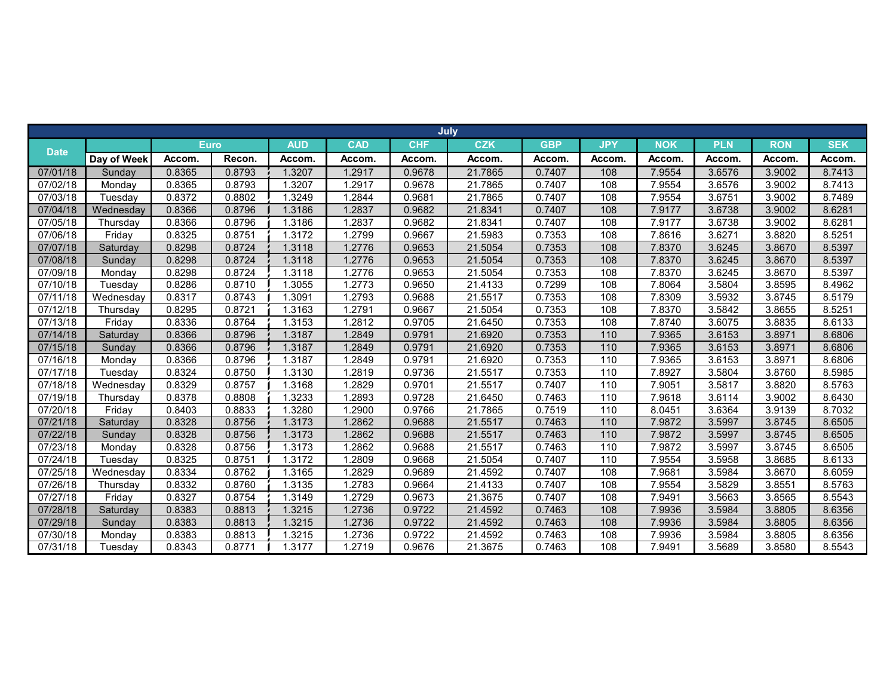|             |             |             |        |            |            | July       |            |            |            |            |            |            |            |
|-------------|-------------|-------------|--------|------------|------------|------------|------------|------------|------------|------------|------------|------------|------------|
|             |             | <b>Euro</b> |        | <b>AUD</b> | <b>CAD</b> | <b>CHF</b> | <b>CZK</b> | <b>GBP</b> | <b>JPY</b> | <b>NOK</b> | <b>PLN</b> | <b>RON</b> | <b>SEK</b> |
| <b>Date</b> | Day of Week | Accom.      | Recon. | Accom.     | Accom.     | Accom.     | Accom.     | Accom.     | Accom.     | Accom.     | Accom.     | Accom.     | Accom.     |
| 07/01/18    | Sunday      | 0.8365      | 0.8793 | 1.3207     | 1.2917     | 0.9678     | 21.7865    | 0.7407     | 108        | 7.9554     | 3.6576     | 3.9002     | 8.7413     |
| 07/02/18    | Monday      | 0.8365      | 0.8793 | 1.3207     | 1.2917     | 0.9678     | 21.7865    | 0.7407     | 108        | 7.9554     | 3.6576     | 3.9002     | 8.7413     |
| 07/03/18    | Tuesday     | 0.8372      | 0.8802 | 1.3249     | 1.2844     | 0.9681     | 21.7865    | 0.7407     | 108        | 7.9554     | 3.6751     | 3.9002     | 8.7489     |
| 07/04/18    | Wednesday   | 0.8366      | 0.8796 | 1.3186     | 1.2837     | 0.9682     | 21.8341    | 0.7407     | 108        | 7.9177     | 3.6738     | 3.9002     | 8.6281     |
| 07/05/18    | Thursday    | 0.8366      | 0.8796 | 1.3186     | 1.2837     | 0.9682     | 21.8341    | 0.7407     | 108        | 7.9177     | 3.6738     | 3.9002     | 8.6281     |
| 07/06/18    | Friday      | 0.8325      | 0.8751 | 1.3172     | 1.2799     | 0.9667     | 21.5983    | 0.7353     | 108        | 7.8616     | 3.6271     | 3.8820     | 8.5251     |
| 07/07/18    | Saturday    | 0.8298      | 0.8724 | 1.3118     | 1.2776     | 0.9653     | 21.5054    | 0.7353     | 108        | 7.8370     | 3.6245     | 3.8670     | 8.5397     |
| 07/08/18    | Sunday      | 0.8298      | 0.8724 | 1.3118     | 1.2776     | 0.9653     | 21.5054    | 0.7353     | 108        | 7.8370     | 3.6245     | 3.8670     | 8.5397     |
| 07/09/18    | Monday      | 0.8298      | 0.8724 | 1.3118     | 1.2776     | 0.9653     | 21.5054    | 0.7353     | 108        | 7.8370     | 3.6245     | 3.8670     | 8.5397     |
| 07/10/18    | Tuesday     | 0.8286      | 0.8710 | 1.3055     | 1.2773     | 0.9650     | 21.4133    | 0.7299     | 108        | 7.8064     | 3.5804     | 3.8595     | 8.4962     |
| 07/11/18    | Wednesday   | 0.8317      | 0.8743 | 1.3091     | 1.2793     | 0.9688     | 21.5517    | 0.7353     | 108        | 7.8309     | 3.5932     | 3.8745     | 8.5179     |
| 07/12/18    | Thursday    | 0.8295      | 0.8721 | 1.3163     | 1.2791     | 0.9667     | 21.5054    | 0.7353     | 108        | 7.8370     | 3.5842     | 3.8655     | 8.5251     |
| 07/13/18    | Friday      | 0.8336      | 0.8764 | 1.3153     | 1.2812     | 0.9705     | 21.6450    | 0.7353     | 108        | 7.8740     | 3.6075     | 3.8835     | 8.6133     |
| 07/14/18    | Saturday    | 0.8366      | 0.8796 | 1.3187     | 1.2849     | 0.9791     | 21.6920    | 0.7353     | 110        | 7.9365     | 3.6153     | 3.8971     | 8.6806     |
| 07/15/18    | Sunday      | 0.8366      | 0.8796 | 1.3187     | 1.2849     | 0.9791     | 21.6920    | 0.7353     | 110        | 7.9365     | 3.6153     | 3.8971     | 8.6806     |
| 07/16/18    | Monday      | 0.8366      | 0.8796 | 1.3187     | 1.2849     | 0.9791     | 21.6920    | 0.7353     | 110        | 7.9365     | 3.6153     | 3.8971     | 8.6806     |
| 07/17/18    | Tuesday     | 0.8324      | 0.8750 | 1.3130     | 1.2819     | 0.9736     | 21.5517    | 0.7353     | 110        | 7.8927     | 3.5804     | 3.8760     | 8.5985     |
| 07/18/18    | Wednesday   | 0.8329      | 0.8757 | 1.3168     | 1.2829     | 0.9701     | 21.5517    | 0.7407     | 110        | 7.9051     | 3.5817     | 3.8820     | 8.5763     |
| 07/19/18    | Thursday    | 0.8378      | 0.8808 | 1.3233     | 1.2893     | 0.9728     | 21.6450    | 0.7463     | 110        | 7.9618     | 3.6114     | 3.9002     | 8.6430     |
| 07/20/18    | Friday      | 0.8403      | 0.8833 | 1.3280     | 1.2900     | 0.9766     | 21.7865    | 0.7519     | 110        | 8.0451     | 3.6364     | 3.9139     | 8.7032     |
| 07/21/18    | Saturday    | 0.8328      | 0.8756 | 1.3173     | 1.2862     | 0.9688     | 21.5517    | 0.7463     | 110        | 7.9872     | 3.5997     | 3.8745     | 8.6505     |
| 07/22/18    | Sunday      | 0.8328      | 0.8756 | 1.3173     | 1.2862     | 0.9688     | 21.5517    | 0.7463     | 110        | 7.9872     | 3.5997     | 3.8745     | 8.6505     |
| 07/23/18    | Monday      | 0.8328      | 0.8756 | 1.3173     | 1.2862     | 0.9688     | 21.5517    | 0.7463     | 110        | 7.9872     | 3.5997     | 3.8745     | 8.6505     |
| 07/24/18    | Tuesday     | 0.8325      | 0.8751 | 1.3172     | 1.2809     | 0.9668     | 21.5054    | 0.7407     | 110        | 7.9554     | 3.5958     | 3.8685     | 8.6133     |
| 07/25/18    | Wednesday   | 0.8334      | 0.8762 | 1.3165     | 1.2829     | 0.9689     | 21.4592    | 0.7407     | 108        | 7.9681     | 3.5984     | 3.8670     | 8.6059     |
| 07/26/18    | Thursday    | 0.8332      | 0.8760 | 1.3135     | 1.2783     | 0.9664     | 21.4133    | 0.7407     | 108        | 7.9554     | 3.5829     | 3.8551     | 8.5763     |
| 07/27/18    | Friday      | 0.8327      | 0.8754 | 1.3149     | 1.2729     | 0.9673     | 21.3675    | 0.7407     | 108        | 7.9491     | 3.5663     | 3.8565     | 8.5543     |
| 07/28/18    | Saturday    | 0.8383      | 0.8813 | 1.3215     | 1.2736     | 0.9722     | 21.4592    | 0.7463     | 108        | 7.9936     | 3.5984     | 3.8805     | 8.6356     |
| 07/29/18    | Sunday      | 0.8383      | 0.8813 | 1.3215     | 1.2736     | 0.9722     | 21.4592    | 0.7463     | 108        | 7.9936     | 3.5984     | 3.8805     | 8.6356     |
| 07/30/18    | Monday      | 0.8383      | 0.8813 | 1.3215     | 1.2736     | 0.9722     | 21.4592    | 0.7463     | 108        | 7.9936     | 3.5984     | 3.8805     | 8.6356     |
| 07/31/18    | Tuesday     | 0.8343      | 0.8771 | 1.3177     | 1.2719     | 0.9676     | 21.3675    | 0.7463     | 108        | 7.9491     | 3.5689     | 3.8580     | 8.5543     |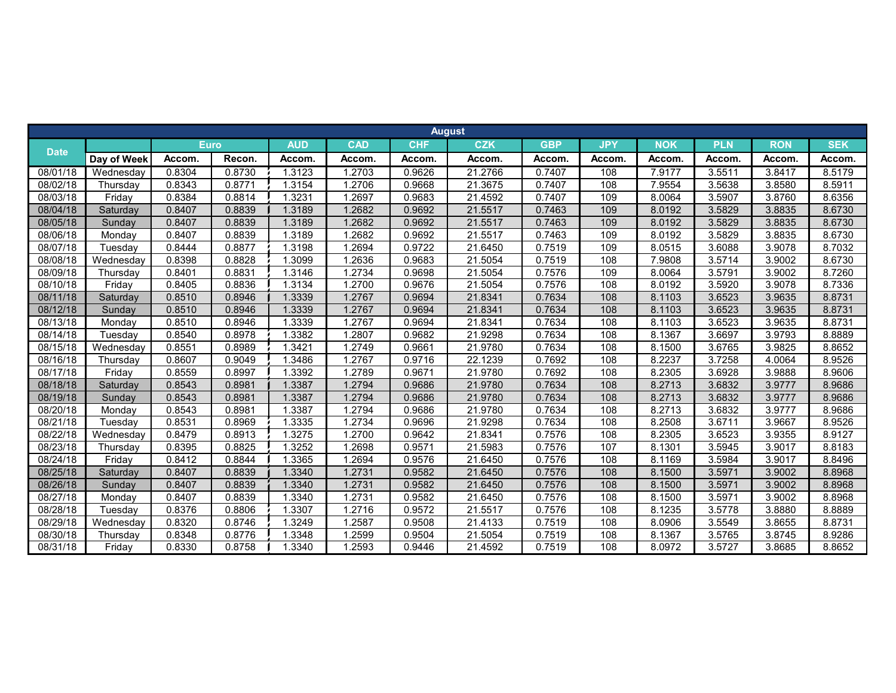|             |             |        |             |            |            |            | <b>August</b> |            |            |            |            |            |            |
|-------------|-------------|--------|-------------|------------|------------|------------|---------------|------------|------------|------------|------------|------------|------------|
|             |             |        | <b>Euro</b> | <b>AUD</b> | <b>CAD</b> | <b>CHF</b> | <b>CZK</b>    | <b>GBP</b> | <b>JPY</b> | <b>NOK</b> | <b>PLN</b> | <b>RON</b> | <b>SEK</b> |
| <b>Date</b> | Day of Week | Accom. | Recon.      | Accom.     | Accom.     | Accom.     | Accom.        | Accom.     | Accom.     | Accom.     | Accom.     | Accom.     | Accom.     |
| 08/01/18    | Wednesdav   | 0.8304 | 0.8730      | 1.3123     | 1.2703     | 0.9626     | 21.2766       | 0.7407     | 108        | 7.9177     | 3.5511     | 3.8417     | 8.5179     |
| 08/02/18    | Thursdav    | 0.8343 | 0.8771      | 1.3154     | 1.2706     | 0.9668     | 21.3675       | 0.7407     | 108        | 7.9554     | 3.5638     | 3.8580     | 8.5911     |
| 08/03/18    | Friday      | 0.8384 | 0.8814      | 1.3231     | 1.2697     | 0.9683     | 21.4592       | 0.7407     | 109        | 8.0064     | 3.5907     | 3.8760     | 8.6356     |
| 08/04/18    | Saturdav    | 0.8407 | 0.8839      | 1.3189     | 1.2682     | 0.9692     | 21.5517       | 0.7463     | 109        | 8.0192     | 3.5829     | 3.8835     | 8.6730     |
| 08/05/18    | Sunday      | 0.8407 | 0.8839      | 1.3189     | 1.2682     | 0.9692     | 21.5517       | 0.7463     | 109        | 8.0192     | 3.5829     | 3.8835     | 8.6730     |
| 08/06/18    | Monday      | 0.8407 | 0.8839      | 1.3189     | 1.2682     | 0.9692     | 21.5517       | 0.7463     | 109        | 8.0192     | 3.5829     | 3.8835     | 8.6730     |
| 08/07/18    | Tuesday     | 0.8444 | 0.8877      | 1.3198     | 1.2694     | 0.9722     | 21.6450       | 0.7519     | 109        | 8.0515     | 3.6088     | 3.9078     | 8.7032     |
| 08/08/18    | Wednesday   | 0.8398 | 0.8828      | 1.3099     | 1.2636     | 0.9683     | 21.5054       | 0.7519     | 108        | 7.9808     | 3.5714     | 3.9002     | 8.6730     |
| 08/09/18    | Thursday    | 0.8401 | 0.8831      | 1.3146     | 1.2734     | 0.9698     | 21.5054       | 0.7576     | 109        | 8.0064     | 3.5791     | 3.9002     | 8.7260     |
| 08/10/18    | Fridav      | 0.8405 | 0.8836      | 1.3134     | 1.2700     | 0.9676     | 21.5054       | 0.7576     | 108        | 8.0192     | 3.5920     | 3.9078     | 8.7336     |
| 08/11/18    | Saturdav    | 0.8510 | 0.8946      | 1.3339     | 1.2767     | 0.9694     | 21.8341       | 0.7634     | 108        | 8.1103     | 3.6523     | 3.9635     | 8.8731     |
| 08/12/18    | Sundav      | 0.8510 | 0.8946      | 1.3339     | 1.2767     | 0.9694     | 21.8341       | 0.7634     | 108        | 8.1103     | 3.6523     | 3.9635     | 8.8731     |
| 08/13/18    | Monday      | 0.8510 | 0.8946      | 1.3339     | 1.2767     | 0.9694     | 21.8341       | 0.7634     | 108        | 8.1103     | 3.6523     | 3.9635     | 8.8731     |
| 08/14/18    | Tuesday     | 0.8540 | 0.8978      | 1.3382     | 1.2807     | 0.9682     | 21.9298       | 0.7634     | 108        | 8.1367     | 3.6697     | 3.9793     | 8.8889     |
| 08/15/18    | Wednesday   | 0.8551 | 0.8989      | 1.3421     | 1.2749     | 0.9661     | 21.9780       | 0.7634     | 108        | 8.1500     | 3.6765     | 3.9825     | 8.8652     |
| 08/16/18    | Thursdav    | 0.8607 | 0.9049      | 1.3486     | 1.2767     | 0.9716     | 22.1239       | 0.7692     | 108        | 8.2237     | 3.7258     | 4.0064     | 8.9526     |
| 08/17/18    | Fridav      | 0.8559 | 0.8997      | 1.3392     | 1.2789     | 0.9671     | 21.9780       | 0.7692     | 108        | 8.2305     | 3.6928     | 3.9888     | 8.9606     |
| 08/18/18    | Saturdav    | 0.8543 | 0.8981      | 1.3387     | 1.2794     | 0.9686     | 21.9780       | 0.7634     | 108        | 8.2713     | 3.6832     | 3.9777     | 8.9686     |
| 08/19/18    | Sunday      | 0.8543 | 0.8981      | 1.3387     | 1.2794     | 0.9686     | 21.9780       | 0.7634     | 108        | 8.2713     | 3.6832     | 3.9777     | 8.9686     |
| 08/20/18    | Monday      | 0.8543 | 0.8981      | 1.3387     | 1.2794     | 0.9686     | 21.9780       | 0.7634     | 108        | 8.2713     | 3.6832     | 3.9777     | 8.9686     |
| 08/21/18    | Tuesday     | 0.8531 | 0.8969      | 1.3335     | 1.2734     | 0.9696     | 21.9298       | 0.7634     | 108        | 8.2508     | 3.6711     | 3.9667     | 8.9526     |
| 08/22/18    | Wednesday   | 0.8479 | 0.8913      | 1.3275     | 1.2700     | 0.9642     | 21.8341       | 0.7576     | 108        | 8.2305     | 3.6523     | 3.9355     | 8.9127     |
| 08/23/18    | Thursdav    | 0.8395 | 0.8825      | 1.3252     | 1.2698     | 0.9571     | 21.5983       | 0.7576     | 107        | 8.1301     | 3.5945     | 3.9017     | 8.8183     |
| 08/24/18    | Friday      | 0.8412 | 0.8844      | 1.3365     | 1.2694     | 0.9576     | 21.6450       | 0.7576     | 108        | 8.1169     | 3.5984     | 3.9017     | 8.8496     |
| 08/25/18    | Saturday    | 0.8407 | 0.8839      | 1.3340     | 1.2731     | 0.9582     | 21.6450       | 0.7576     | 108        | 8.1500     | 3.5971     | 3.9002     | 8.8968     |
| 08/26/18    | Sunday      | 0.8407 | 0.8839      | 1.3340     | 1.2731     | 0.9582     | 21.6450       | 0.7576     | 108        | 8.1500     | 3.5971     | 3.9002     | 8.8968     |
| 08/27/18    | Monday      | 0.8407 | 0.8839      | 1.3340     | 1.2731     | 0.9582     | 21.6450       | 0.7576     | 108        | 8.1500     | 3.5971     | 3.9002     | 8.8968     |
| 08/28/18    | Tuesday     | 0.8376 | 0.8806      | 1.3307     | 1.2716     | 0.9572     | 21.5517       | 0.7576     | 108        | 8.1235     | 3.5778     | 3.8880     | 8.8889     |
| 08/29/18    | Wednesday   | 0.8320 | 0.8746      | 1.3249     | 1.2587     | 0.9508     | 21.4133       | 0.7519     | 108        | 8.0906     | 3.5549     | 3.8655     | 8.8731     |
| 08/30/18    | Thursday    | 0.8348 | 0.8776      | 1.3348     | 1.2599     | 0.9504     | 21.5054       | 0.7519     | 108        | 8.1367     | 3.5765     | 3.8745     | 8.9286     |
| 08/31/18    | Friday      | 0.8330 | 0.8758      | 1.3340     | 1.2593     | 0.9446     | 21.4592       | 0.7519     | 108        | 8.0972     | 3.5727     | 3.8685     | 8.8652     |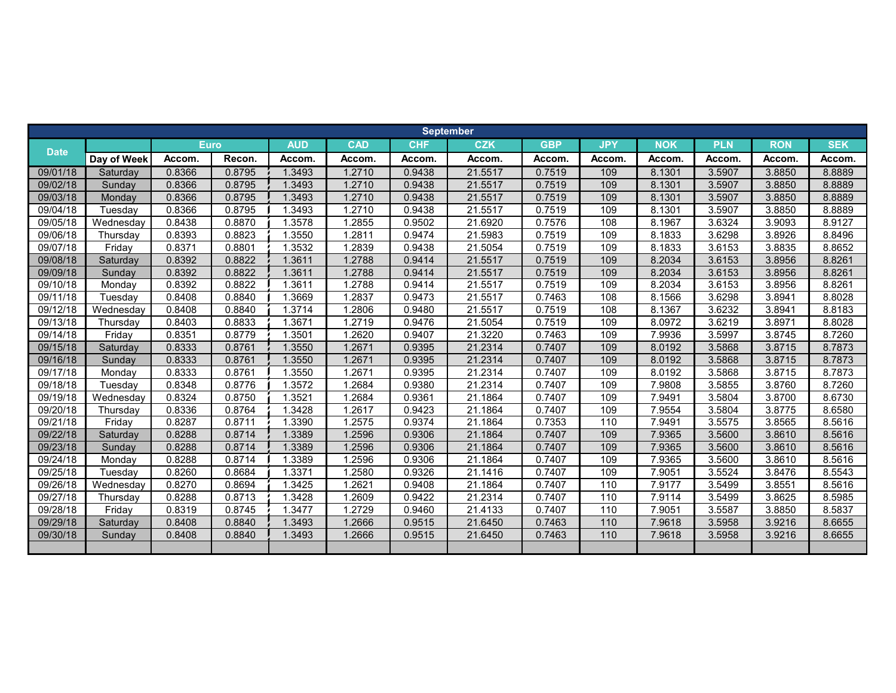|             |             |             |        |            |            |            | <b>September</b> |            |            |            |            |            |            |
|-------------|-------------|-------------|--------|------------|------------|------------|------------------|------------|------------|------------|------------|------------|------------|
| <b>Date</b> |             | <b>Euro</b> |        | <b>AUD</b> | <b>CAD</b> | <b>CHF</b> | <b>CZK</b>       | <b>GBP</b> | <b>JPY</b> | <b>NOK</b> | <b>PLN</b> | <b>RON</b> | <b>SEK</b> |
|             | Day of Week | Accom.      | Recon. | Accom.     | Accom.     | Accom.     | Accom.           | Accom.     | Accom.     | Accom.     | Accom.     | Accom.     | Accom.     |
| 09/01/18    | Saturdav    | 0.8366      | 0.8795 | 1.3493     | 1.2710     | 0.9438     | 21.5517          | 0.7519     | 109        | 8.1301     | 3.5907     | 3.8850     | 8.8889     |
| 09/02/18    | Sunday      | 0.8366      | 0.8795 | 1.3493     | 1.2710     | 0.9438     | 21.5517          | 0.7519     | 109        | 8.1301     | 3.5907     | 3.8850     | 8.8889     |
| 09/03/18    | Monday      | 0.8366      | 0.8795 | 1.3493     | 1.2710     | 0.9438     | 21.5517          | 0.7519     | 109        | 8.1301     | 3.5907     | 3.8850     | 8.8889     |
| 09/04/18    | Tuesday     | 0.8366      | 0.8795 | 1.3493     | 1.2710     | 0.9438     | 21.5517          | 0.7519     | 109        | 8.1301     | 3.5907     | 3.8850     | 8.8889     |
| 09/05/18    | Wednesday   | 0.8438      | 0.8870 | 1.3578     | 1.2855     | 0.9502     | 21.6920          | 0.7576     | 108        | 8.1967     | 3.6324     | 3.9093     | 8.9127     |
| 09/06/18    | Thursday    | 0.8393      | 0.8823 | 1.3550     | 1.2811     | 0.9474     | 21.5983          | 0.7519     | 109        | 8.1833     | 3.6298     | 3.8926     | 8.8496     |
| 09/07/18    | Friday      | 0.8371      | 0.8801 | 1.3532     | 1.2839     | 0.9438     | 21.5054          | 0.7519     | 109        | 8.1833     | 3.6153     | 3.8835     | 8.8652     |
| 09/08/18    | Saturday    | 0.8392      | 0.8822 | 1.3611     | 1.2788     | 0.9414     | 21.5517          | 0.7519     | 109        | 8.2034     | 3.6153     | 3.8956     | 8.8261     |
| 09/09/18    | Sunday      | 0.8392      | 0.8822 | 1.3611     | 1.2788     | 0.9414     | 21.5517          | 0.7519     | 109        | 8.2034     | 3.6153     | 3.8956     | 8.8261     |
| 09/10/18    | Monday      | 0.8392      | 0.8822 | 1.3611     | .2788      | 0.9414     | 21.5517          | 0.7519     | 109        | 8.2034     | 3.6153     | 3.8956     | 8.8261     |
| 09/11/18    | Tuesday     | 0.8408      | 0.8840 | 1.3669     | 1.2837     | 0.9473     | 21.5517          | 0.7463     | 108        | 8.1566     | 3.6298     | 3.8941     | 8.8028     |
| 09/12/18    | Wednesday   | 0.8408      | 0.8840 | 1.3714     | .2806      | 0.9480     | 21.5517          | 0.7519     | 108        | 8.1367     | 3.6232     | 3.8941     | 8.8183     |
| 09/13/18    | Thursday    | 0.8403      | 0.8833 | 1.3671     | .2719      | 0.9476     | 21.5054          | 0.7519     | 109        | 8.0972     | 3.6219     | 3.8971     | 8.8028     |
| 09/14/18    | Friday      | 0.8351      | 0.8779 | 1.3501     | 1.2620     | 0.9407     | 21.3220          | 0.7463     | 109        | 7.9936     | 3.5997     | 3.8745     | 8.7260     |
| 09/15/18    | Saturday    | 0.8333      | 0.8761 | 1.3550     | 1.2671     | 0.9395     | 21.2314          | 0.7407     | 109        | 8.0192     | 3.5868     | 3.8715     | 8.7873     |
| 09/16/18    | Sunday      | 0.8333      | 0.8761 | 1.3550     | 1.2671     | 0.9395     | 21.2314          | 0.7407     | 109        | 8.0192     | 3.5868     | 3.8715     | 8.7873     |
| 09/17/18    | Monday      | 0.8333      | 0.8761 | 1.3550     | 1.2671     | 0.9395     | 21.2314          | 0.7407     | 109        | 8.0192     | 3.5868     | 3.8715     | 8.7873     |
| 09/18/18    | Tuesday     | 0.8348      | 0.8776 | 1.3572     | .2684      | 0.9380     | 21.2314          | 0.7407     | 109        | 7.9808     | 3.5855     | 3.8760     | 8.7260     |
| 09/19/18    | Wednesday   | 0.8324      | 0.8750 | 1.3521     | .2684      | 0.9361     | 21.1864          | 0.7407     | 109        | 7.9491     | 3.5804     | 3.8700     | 8.6730     |
| 09/20/18    | Thursday    | 0.8336      | 0.8764 | 1.3428     | 1.2617     | 0.9423     | 21.1864          | 0.7407     | 109        | 7.9554     | 3.5804     | 3.8775     | 8.6580     |
| 09/21/18    | Friday      | 0.8287      | 0.8711 | 1.3390     | .2575      | 0.9374     | 21.1864          | 0.7353     | 110        | 7.9491     | 3.5575     | 3.8565     | 8.5616     |
| 09/22/18    | Saturday    | 0.8288      | 0.8714 | 1.3389     | 1.2596     | 0.9306     | 21.1864          | 0.7407     | 109        | 7.9365     | 3.5600     | 3.8610     | 8.5616     |
| 09/23/18    | Sunday      | 0.8288      | 0.8714 | 1.3389     | 1.2596     | 0.9306     | 21.1864          | 0.7407     | 109        | 7.9365     | 3.5600     | 3.8610     | 8.5616     |
| 09/24/18    | Monday      | 0.8288      | 0.8714 | 1.3389     | .2596      | 0.9306     | 21.1864          | 0.7407     | 109        | 7.9365     | 3.5600     | 3.8610     | 8.5616     |
| 09/25/18    | Tuesdav     | 0.8260      | 0.8684 | 1.3371     | 1.2580     | 0.9326     | 21.1416          | 0.7407     | 109        | 7.9051     | 3.5524     | 3.8476     | 8.5543     |
| 09/26/18    | Wednesday   | 0.8270      | 0.8694 | 1.3425     | 1.2621     | 0.9408     | 21.1864          | 0.7407     | 110        | 7.9177     | 3.5499     | 3.8551     | 8.5616     |
| 09/27/18    | Thursday    | 0.8288      | 0.8713 | 1.3428     | 1.2609     | 0.9422     | 21.2314          | 0.7407     | 110        | 7.9114     | 3.5499     | 3.8625     | 8.5985     |
| 09/28/18    | Friday      | 0.8319      | 0.8745 | 1.3477     | .2729      | 0.9460     | 21.4133          | 0.7407     | 110        | 7.9051     | 3.5587     | 3.8850     | 8.5837     |
| 09/29/18    | Saturday    | 0.8408      | 0.8840 | 1.3493     | 1.2666     | 0.9515     | 21.6450          | 0.7463     | 110        | 7.9618     | 3.5958     | 3.9216     | 8.6655     |
| 09/30/18    | Sunday      | 0.8408      | 0.8840 | 1.3493     | 1.2666     | 0.9515     | 21.6450          | 0.7463     | 110        | 7.9618     | 3.5958     | 3.9216     | 8.6655     |
|             |             |             |        |            |            |            |                  |            |            |            |            |            |            |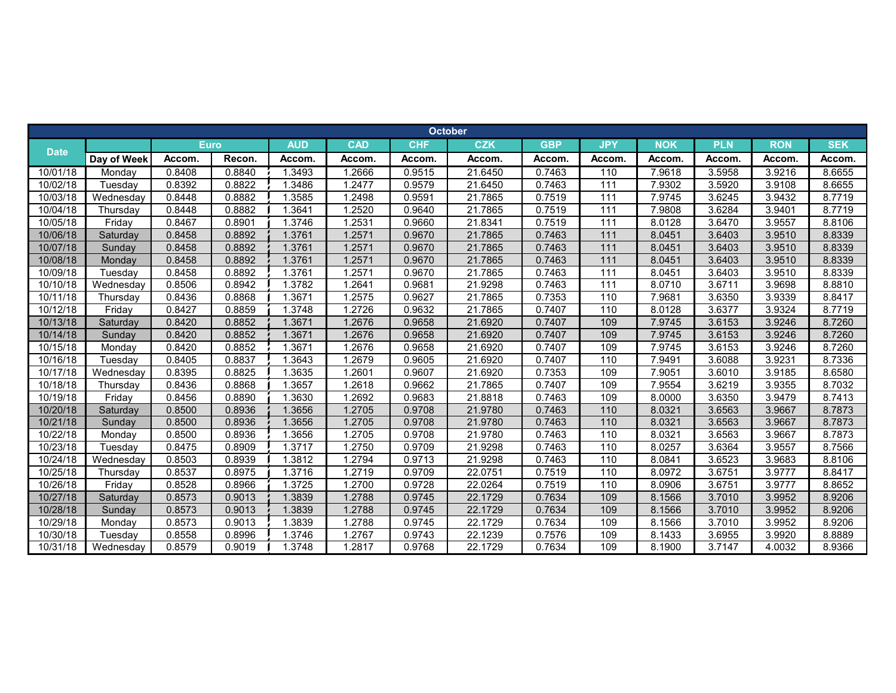|             |             |        |             |            |            |            | <b>October</b> |            |                  |            |            |            |            |
|-------------|-------------|--------|-------------|------------|------------|------------|----------------|------------|------------------|------------|------------|------------|------------|
| <b>Date</b> |             |        | <b>Euro</b> | <b>AUD</b> | <b>CAD</b> | <b>CHF</b> | <b>CZK</b>     | <b>GBP</b> | <b>JPY</b>       | <b>NOK</b> | <b>PLN</b> | <b>RON</b> | <b>SEK</b> |
|             | Day of Week | Accom. | Recon.      | Accom.     | Accom.     | Accom.     | Accom.         | Accom.     | Accom.           | Accom.     | Accom.     | Accom.     | Accom.     |
| 10/01/18    | Mondav      | 0.8408 | 0.8840      | 1.3493     | 1.2666     | 0.9515     | 21.6450        | 0.7463     | 110              | 7.9618     | 3.5958     | 3.9216     | 8.6655     |
| 10/02/18    | Tuesday     | 0.8392 | 0.8822      | 1.3486     | 1.2477     | 0.9579     | 21.6450        | 0.7463     | 111              | 7.9302     | 3.5920     | 3.9108     | 8.6655     |
| 10/03/18    | Wednesday   | 0.8448 | 0.8882      | 1.3585     | 1.2498     | 0.9591     | 21.7865        | 0.7519     | 111              | 7.9745     | 3.6245     | 3.9432     | 8.7719     |
| 10/04/18    | Thursday    | 0.8448 | 0.8882      | 1.3641     | 1.2520     | 0.9640     | 21.7865        | 0.7519     | 111              | 7.9808     | 3.6284     | 3.9401     | 8.7719     |
| 10/05/18    | Friday      | 0.8467 | 0.8901      | 1.3746     | 1.2531     | 0.9660     | 21.8341        | 0.7519     | 111              | 8.0128     | 3.6470     | 3.9557     | 8.8106     |
| 10/06/18    | Saturday    | 0.8458 | 0.8892      | 1.3761     | 1.2571     | 0.9670     | 21.7865        | 0.7463     | 111              | 8.0451     | 3.6403     | 3.9510     | 8.8339     |
| 10/07/18    | Sunday      | 0.8458 | 0.8892      | 1.3761     | 1.2571     | 0.9670     | 21.7865        | 0.7463     | 111              | 8.0451     | 3.6403     | 3.9510     | 8.8339     |
| 10/08/18    | Monday      | 0.8458 | 0.8892      | 1.3761     | 1.2571     | 0.9670     | 21.7865        | 0.7463     | 111              | 8.0451     | 3.6403     | 3.9510     | 8.8339     |
| 10/09/18    | Tuesday     | 0.8458 | 0.8892      | 1.3761     | 1.2571     | 0.9670     | 21.7865        | 0.7463     | 111              | 8.0451     | 3.6403     | 3.9510     | 8.8339     |
| 10/10/18    | Wednesday   | 0.8506 | 0.8942      | 1.3782     | 1.2641     | 0.9681     | 21.9298        | 0.7463     | $\overline{111}$ | 8.0710     | 3.6711     | 3.9698     | 8.8810     |
| 10/11/18    | Thursday    | 0.8436 | 0.8868      | 1.3671     | 1.2575     | 0.9627     | 21.7865        | 0.7353     | 110              | 7.9681     | 3.6350     | 3.9339     | 8.8417     |
| 10/12/18    | Fridav      | 0.8427 | 0.8859      | 1.3748     | 1.2726     | 0.9632     | 21.7865        | 0.7407     | 110              | 8.0128     | 3.6377     | 3.9324     | 8.7719     |
| 10/13/18    | Saturday    | 0.8420 | 0.8852      | 1.3671     | 1.2676     | 0.9658     | 21.6920        | 0.7407     | 109              | 7.9745     | 3.6153     | 3.9246     | 8.7260     |
| 10/14/18    | Sunday      | 0.8420 | 0.8852      | 1.3671     | 1.2676     | 0.9658     | 21.6920        | 0.7407     | 109              | 7.9745     | 3.6153     | 3.9246     | 8.7260     |
| 10/15/18    | Monday      | 0.8420 | 0.8852      | 1.3671     | 1.2676     | 0.9658     | 21.6920        | 0.7407     | 109              | 7.9745     | 3.6153     | 3.9246     | 8.7260     |
| 10/16/18    | Tuesday     | 0.8405 | 0.8837      | 1.3643     | 1.2679     | 0.9605     | 21.6920        | 0.7407     | 110              | 7.9491     | 3.6088     | 3.9231     | 8.7336     |
| 10/17/18    | Wednesday   | 0.8395 | 0.8825      | 1.3635     | 1.2601     | 0.9607     | 21.6920        | 0.7353     | 109              | 7.9051     | 3.6010     | 3.9185     | 8.6580     |
| 10/18/18    | Thursdav    | 0.8436 | 0.8868      | 1.3657     | 1.2618     | 0.9662     | 21.7865        | 0.7407     | 109              | 7.9554     | 3.6219     | 3.9355     | 8.7032     |
| 10/19/18    | Friday      | 0.8456 | 0.8890      | 1.3630     | 1.2692     | 0.9683     | 21.8818        | 0.7463     | 109              | 8.0000     | 3.6350     | 3.9479     | 8.7413     |
| 10/20/18    | Saturday    | 0.8500 | 0.8936      | 1.3656     | 1.2705     | 0.9708     | 21.9780        | 0.7463     | 110              | 8.0321     | 3.6563     | 3.9667     | 8.7873     |
| 10/21/18    | Sunday      | 0.8500 | 0.8936      | 1.3656     | 1.2705     | 0.9708     | 21.9780        | 0.7463     | 110              | 8.0321     | 3.6563     | 3.9667     | 8.7873     |
| 10/22/18    | Monday      | 0.8500 | 0.8936      | 1.3656     | 1.2705     | 0.9708     | 21.9780        | 0.7463     | 110              | 8.0321     | 3.6563     | 3.9667     | 8.7873     |
| 10/23/18    | Tuesday     | 0.8475 | 0.8909      | 1.3717     | 1.2750     | 0.9709     | 21.9298        | 0.7463     | 110              | 8.0257     | 3.6364     | 3.9557     | 8.7566     |
| 10/24/18    | Wednesday   | 0.8503 | 0.8939      | 1.3812     | 1.2794     | 0.9713     | 21.9298        | 0.7463     | 110              | 8.0841     | 3.6523     | 3.9683     | 8.8106     |
| 10/25/18    | Thursday    | 0.8537 | 0.8975      | 1.3716     | 1.2719     | 0.9709     | 22.0751        | 0.7519     | 110              | 8.0972     | 3.6751     | 3.9777     | 8.8417     |
| 10/26/18    | Friday      | 0.8528 | 0.8966      | 1.3725     | 1.2700     | 0.9728     | 22.0264        | 0.7519     | 110              | 8.0906     | 3.6751     | 3.9777     | 8.8652     |
| 10/27/18    | Saturday    | 0.8573 | 0.9013      | 1.3839     | 1.2788     | 0.9745     | 22.1729        | 0.7634     | 109              | 8.1566     | 3.7010     | 3.9952     | 8.9206     |
| 10/28/18    | Sunday      | 0.8573 | 0.9013      | 1.3839     | 1.2788     | 0.9745     | 22.1729        | 0.7634     | 109              | 8.1566     | 3.7010     | 3.9952     | 8.9206     |
| 10/29/18    | Monday      | 0.8573 | 0.9013      | 1.3839     | 1.2788     | 0.9745     | 22.1729        | 0.7634     | 109              | 8.1566     | 3.7010     | 3.9952     | 8.9206     |
| 10/30/18    | Tuesday     | 0.8558 | 0.8996      | 1.3746     | 1.2767     | 0.9743     | 22.1239        | 0.7576     | 109              | 8.1433     | 3.6955     | 3.9920     | 8.8889     |
| 10/31/18    | Wednesday   | 0.8579 | 0.9019      | 1.3748     | 1.2817     | 0.9768     | 22.1729        | 0.7634     | 109              | 8.1900     | 3.7147     | 4.0032     | 8.9366     |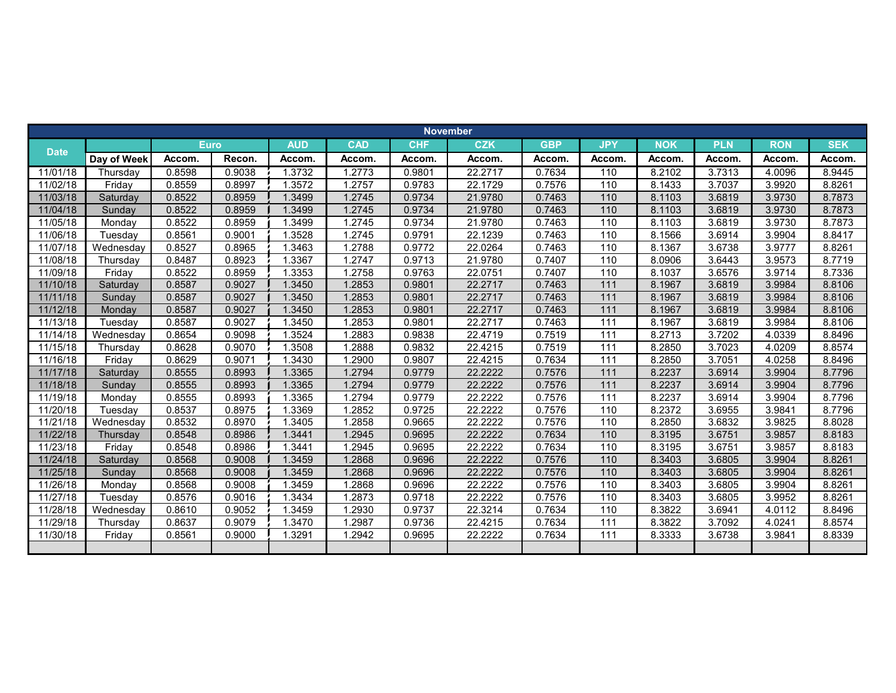|             |             |             |        |            |            |            | <b>November</b> |            |                   |            |            |            |            |
|-------------|-------------|-------------|--------|------------|------------|------------|-----------------|------------|-------------------|------------|------------|------------|------------|
| <b>Date</b> |             | <b>Euro</b> |        | <b>AUD</b> | <b>CAD</b> | <b>CHF</b> | <b>CZK</b>      | <b>GBP</b> | <b>JPY</b>        | <b>NOK</b> | <b>PLN</b> | <b>RON</b> | <b>SEK</b> |
|             | Day of Week | Accom.      | Recon. | Accom.     | Accom.     | Accom.     | Accom.          | Accom.     | Accom.            | Accom.     | Accom.     | Accom.     | Accom.     |
| 11/01/18    | Thursdav    | 0.8598      | 0.9038 | 1.3732     | 1.2773     | 0.9801     | 22.2717         | 0.7634     | 110               | 8.2102     | 3.7313     | 4.0096     | 8.9445     |
| 11/02/18    | Friday      | 0.8559      | 0.8997 | 1.3572     | 1.2757     | 0.9783     | 22.1729         | 0.7576     | 110               | 8.1433     | 3.7037     | 3.9920     | 8.8261     |
| 11/03/18    | Saturday    | 0.8522      | 0.8959 | 1.3499     | 1.2745     | 0.9734     | 21.9780         | 0.7463     | 110               | 8.1103     | 3.6819     | 3.9730     | 8.7873     |
| 11/04/18    | Sunday      | 0.8522      | 0.8959 | 1.3499     | 1.2745     | 0.9734     | 21.9780         | 0.7463     | $\frac{110}{110}$ | 8.1103     | 3.6819     | 3.9730     | 8.7873     |
| 11/05/18    | Monday      | 0.8522      | 0.8959 | 1.3499     | 1.2745     | 0.9734     | 21.9780         | 0.7463     | 110               | 8.1103     | 3.6819     | 3.9730     | 8.7873     |
| 11/06/18    | Tuesday     | 0.8561      | 0.9001 | 1.3528     | 1.2745     | 0.9791     | 22.1239         | 0.7463     | 110               | 8.1566     | 3.6914     | 3.9904     | 8.8417     |
| 11/07/18    | Wednesday   | 0.8527      | 0.8965 | 1.3463     | 1.2788     | 0.9772     | 22.0264         | 0.7463     | 110               | 8.1367     | 3.6738     | 3.9777     | 8.8261     |
| 11/08/18    | Thursday    | 0.8487      | 0.8923 | 1.3367     | 1.2747     | 0.9713     | 21.9780         | 0.7407     | 110               | 8.0906     | 3.6443     | 3.9573     | 8.7719     |
| 11/09/18    | Friday      | 0.8522      | 0.8959 | 1.3353     | 1.2758     | 0.9763     | 22.0751         | 0.7407     | 110               | 8.1037     | 3.6576     | 3.9714     | 8.7336     |
| 11/10/18    | Saturday    | 0.8587      | 0.9027 | 1.3450     | .2853      | 0.9801     | 22.2717         | 0.7463     | $\overline{111}$  | 8.1967     | 3.6819     | 3.9984     | 8.8106     |
| 11/11/18    | Sunday      | 0.8587      | 0.9027 | 1.3450     | 1.2853     | 0.9801     | 22.2717         | 0.7463     | $\overline{111}$  | 8.1967     | 3.6819     | 3.9984     | 8.8106     |
| 11/12/18    | Monday      | 0.8587      | 0.9027 | 1.3450     | .2853      | 0.9801     | 22.2717         | 0.7463     | 111               | 8.1967     | 3.6819     | 3.9984     | 8.8106     |
| 11/13/18    | Tuesday     | 0.8587      | 0.9027 | 1.3450     | 1.2853     | 0.9801     | 22.2717         | 0.7463     | 111               | 8.1967     | 3.6819     | 3.9984     | 8.8106     |
| 11/14/18    | Wednesday   | 0.8654      | 0.9098 | 1.3524     | 1.2883     | 0.9838     | 22.4719         | 0.7519     | 111               | 8.2713     | 3.7202     | 4.0339     | 8.8496     |
| 11/15/18    | Thursday    | 0.8628      | 0.9070 | 1.3508     | 1.2888     | 0.9832     | 22.4215         | 0.7519     | 111               | 8.2850     | 3.7023     | 4.0209     | 8.8574     |
| 11/16/18    | Friday      | 0.8629      | 0.9071 | 1.3430     | 1.2900     | 0.9807     | 22.4215         | 0.7634     | 111               | 8.2850     | 3.7051     | 4.0258     | 8.8496     |
| 11/17/18    | Saturday    | 0.8555      | 0.8993 | 1.3365     | 1.2794     | 0.9779     | 22.2222         | 0.7576     | $\overline{111}$  | 8.2237     | 3.6914     | 3.9904     | 8.7796     |
| 11/18/18    | Sunday      | 0.8555      | 0.8993 | 1.3365     | 1.2794     | 0.9779     | 22.2222         | 0.7576     | 111               | 8.2237     | 3.6914     | 3.9904     | 8.7796     |
| 11/19/18    | Monday      | 0.8555      | 0.8993 | 1.3365     | 1.2794     | 0.9779     | 22.2222         | 0.7576     | 111               | 8.2237     | 3.6914     | 3.9904     | 8.7796     |
| 11/20/18    | Tuesday     | 0.8537      | 0.8975 | 1.3369     | 1.2852     | 0.9725     | 22.2222         | 0.7576     | 110               | 8.2372     | 3.6955     | 3.9841     | 8.7796     |
| 11/21/18    | Wednesday   | 0.8532      | 0.8970 | 1.3405     | 1.2858     | 0.9665     | 22.2222         | 0.7576     | 110               | 8.2850     | 3.6832     | 3.9825     | 8.8028     |
| 11/22/18    | Thursday    | 0.8548      | 0.8986 | 1.3441     | .2945      | 0.9695     | 22.2222         | 0.7634     | $\frac{110}{110}$ | 8.3195     | 3.6751     | 3.9857     | 8.8183     |
| 11/23/18    | Friday      | 0.8548      | 0.8986 | 1.3441     | 1.2945     | 0.9695     | 22.2222         | 0.7634     | 110               | 8.3195     | 3.6751     | 3.9857     | 8.8183     |
| 11/24/18    | Saturday    | 0.8568      | 0.9008 | 1.3459     | .2868      | 0.9696     | 22.2222         | 0.7576     | 110               | 8.3403     | 3.6805     | 3.9904     | 8.8261     |
| 11/25/18    | Sunday      | 0.8568      | 0.9008 | 1.3459     | .2868      | 0.9696     | 22.2222         | 0.7576     | 110               | 8.3403     | 3.6805     | 3.9904     | 8.8261     |
| 11/26/18    | Monday      | 0.8568      | 0.9008 | 1.3459     | 1.2868     | 0.9696     | 22.2222         | 0.7576     | 110               | 8.3403     | 3.6805     | 3.9904     | 8.8261     |
| 11/27/18    | Tuesday     | 0.8576      | 0.9016 | 1.3434     | 1.2873     | 0.9718     | 22.2222         | 0.7576     | 110               | 8.3403     | 3.6805     | 3.9952     | 8.8261     |
| 11/28/18    | Wednesday   | 0.8610      | 0.9052 | 1.3459     | 1.2930     | 0.9737     | 22.3214         | 0.7634     | 110               | 8.3822     | 3.6941     | 4.0112     | 8.8496     |
| 11/29/18    | Thursday    | 0.8637      | 0.9079 | 1.3470     | 1.2987     | 0.9736     | 22.4215         | 0.7634     | $\overline{111}$  | 8.3822     | 3.7092     | 4.0241     | 8.8574     |
| 11/30/18    | Friday      | 0.8561      | 0.9000 | 1.3291     | 1.2942     | 0.9695     | 22.2222         | 0.7634     | 111               | 8.3333     | 3.6738     | 3.9841     | 8.8339     |
|             |             |             |        |            |            |            |                 |            |                   |            |            |            |            |